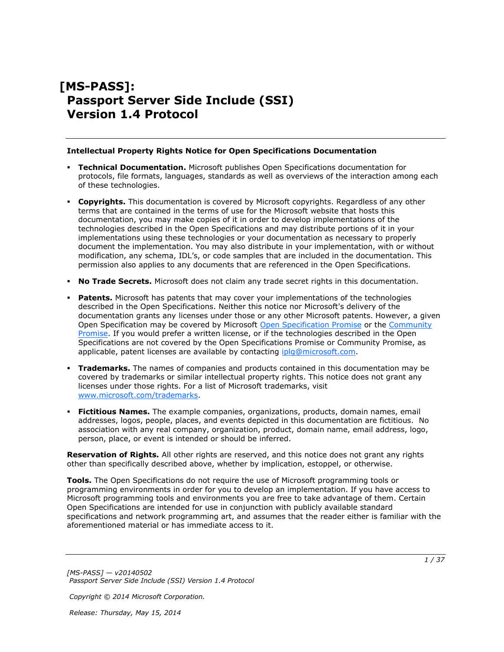# **[MS-PASS]: Passport Server Side Include (SSI) Version 1.4 Protocol**

#### **Intellectual Property Rights Notice for Open Specifications Documentation**

- **Technical Documentation.** Microsoft publishes Open Specifications documentation for protocols, file formats, languages, standards as well as overviews of the interaction among each of these technologies.
- **Copyrights.** This documentation is covered by Microsoft copyrights. Regardless of any other terms that are contained in the terms of use for the Microsoft website that hosts this documentation, you may make copies of it in order to develop implementations of the technologies described in the Open Specifications and may distribute portions of it in your implementations using these technologies or your documentation as necessary to properly document the implementation. You may also distribute in your implementation, with or without modification, any schema, IDL's, or code samples that are included in the documentation. This permission also applies to any documents that are referenced in the Open Specifications.
- **No Trade Secrets.** Microsoft does not claim any trade secret rights in this documentation.
- **Patents.** Microsoft has patents that may cover your implementations of the technologies described in the Open Specifications. Neither this notice nor Microsoft's delivery of the documentation grants any licenses under those or any other Microsoft patents. However, a given Open Specification may be covered by Microsoft [Open Specification Promise](http://go.microsoft.com/fwlink/?LinkId=214445) or the Community [Promise.](http://go.microsoft.com/fwlink/?LinkId=214448) If you would prefer a written license, or if the technologies described in the Open Specifications are not covered by the Open Specifications Promise or Community Promise, as applicable, patent licenses are available by contacting [iplg@microsoft.com.](mailto:iplg@microsoft.com)
- **Trademarks.** The names of companies and products contained in this documentation may be covered by trademarks or similar intellectual property rights. This notice does not grant any licenses under those rights. For a list of Microsoft trademarks, visit [www.microsoft.com/trademarks.](http://www.microsoft.com/trademarks)
- **Fictitious Names.** The example companies, organizations, products, domain names, email addresses, logos, people, places, and events depicted in this documentation are fictitious. No association with any real company, organization, product, domain name, email address, logo, person, place, or event is intended or should be inferred.

**Reservation of Rights.** All other rights are reserved, and this notice does not grant any rights other than specifically described above, whether by implication, estoppel, or otherwise.

**Tools.** The Open Specifications do not require the use of Microsoft programming tools or programming environments in order for you to develop an implementation. If you have access to Microsoft programming tools and environments you are free to take advantage of them. Certain Open Specifications are intended for use in conjunction with publicly available standard specifications and network programming art, and assumes that the reader either is familiar with the aforementioned material or has immediate access to it.

*[MS-PASS] — v20140502 Passport Server Side Include (SSI) Version 1.4 Protocol* 

*Copyright © 2014 Microsoft Corporation.*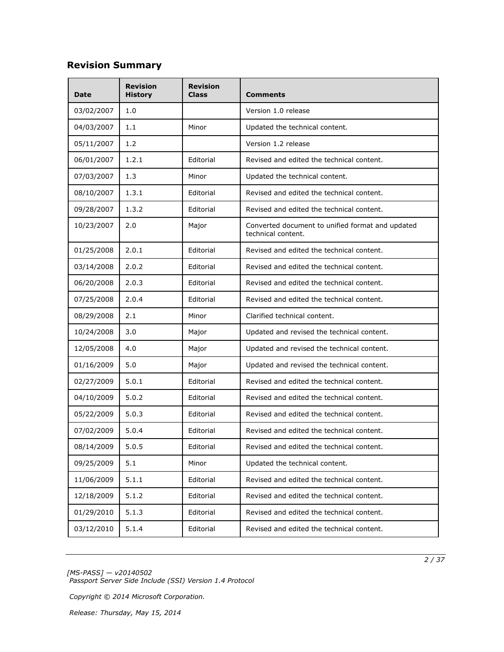# **Revision Summary**

| <b>Date</b> | <b>Revision</b><br><b>History</b> | <b>Revision</b><br>Class | Comments                                                               |
|-------------|-----------------------------------|--------------------------|------------------------------------------------------------------------|
| 03/02/2007  | 1.0                               |                          | Version 1.0 release                                                    |
| 04/03/2007  | 1.1                               | Minor                    | Updated the technical content.                                         |
| 05/11/2007  | 1.2                               |                          | Version 1.2 release                                                    |
| 06/01/2007  | 1.2.1                             | Editorial                | Revised and edited the technical content.                              |
| 07/03/2007  | 1.3                               | Minor                    | Updated the technical content.                                         |
| 08/10/2007  | 1.3.1                             | Editorial                | Revised and edited the technical content.                              |
| 09/28/2007  | 1.3.2                             | Editorial                | Revised and edited the technical content.                              |
| 10/23/2007  | 2.0                               | Major                    | Converted document to unified format and updated<br>technical content. |
| 01/25/2008  | 2.0.1                             | Editorial                | Revised and edited the technical content.                              |
| 03/14/2008  | 2.0.2                             | Editorial                | Revised and edited the technical content.                              |
| 06/20/2008  | 2.0.3                             | Editorial                | Revised and edited the technical content.                              |
| 07/25/2008  | 2.0.4                             | Editorial                | Revised and edited the technical content.                              |
| 08/29/2008  | 2.1                               | Minor                    | Clarified technical content.                                           |
| 10/24/2008  | 3.0                               | Major                    | Updated and revised the technical content.                             |
| 12/05/2008  | 4.0                               | Major                    | Updated and revised the technical content.                             |
| 01/16/2009  | 5.0                               | Major                    | Updated and revised the technical content.                             |
| 02/27/2009  | 5.0.1                             | Editorial                | Revised and edited the technical content.                              |
| 04/10/2009  | 5.0.2                             | Editorial                | Revised and edited the technical content.                              |
| 05/22/2009  | 5.0.3                             | Editorial                | Revised and edited the technical content.                              |
| 07/02/2009  | 5.0.4                             | Editorial                | Revised and edited the technical content.                              |
| 08/14/2009  | 5.0.5                             | Editorial                | Revised and edited the technical content.                              |
| 09/25/2009  | 5.1                               | Minor                    | Updated the technical content.                                         |
| 11/06/2009  | 5.1.1                             | Editorial                | Revised and edited the technical content.                              |
| 12/18/2009  | 5.1.2                             | Editorial                | Revised and edited the technical content.                              |
| 01/29/2010  | 5.1.3                             | Editorial                | Revised and edited the technical content.                              |
| 03/12/2010  | 5.1.4                             | Editorial                | Revised and edited the technical content.                              |

*[MS-PASS] — v20140502 Passport Server Side Include (SSI) Version 1.4 Protocol* 

*Copyright © 2014 Microsoft Corporation.*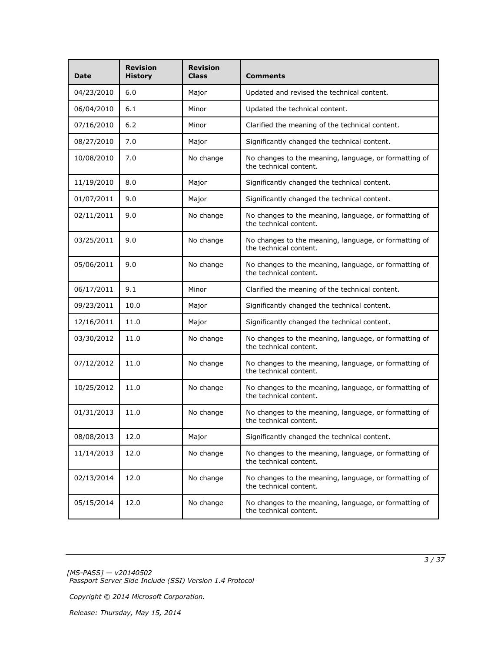| <b>Date</b> | <b>Revision</b><br><b>History</b> | <b>Revision</b><br><b>Class</b> | <b>Comments</b>                                                                 |
|-------------|-----------------------------------|---------------------------------|---------------------------------------------------------------------------------|
| 04/23/2010  | 6.0                               | Major                           | Updated and revised the technical content.                                      |
| 06/04/2010  | 6.1                               | Minor                           | Updated the technical content.                                                  |
| 07/16/2010  | 6.2                               | Minor                           | Clarified the meaning of the technical content.                                 |
| 08/27/2010  | 7.0                               | Major                           | Significantly changed the technical content.                                    |
| 10/08/2010  | 7.0                               | No change                       | No changes to the meaning, language, or formatting of<br>the technical content. |
| 11/19/2010  | 8.0                               | Major                           | Significantly changed the technical content.                                    |
| 01/07/2011  | 9.0                               | Major                           | Significantly changed the technical content.                                    |
| 02/11/2011  | 9.0                               | No change                       | No changes to the meaning, language, or formatting of<br>the technical content. |
| 03/25/2011  | 9.0                               | No change                       | No changes to the meaning, language, or formatting of<br>the technical content. |
| 05/06/2011  | 9.0                               | No change                       | No changes to the meaning, language, or formatting of<br>the technical content. |
| 06/17/2011  | 9.1                               | Minor                           | Clarified the meaning of the technical content.                                 |
| 09/23/2011  | 10.0                              | Major                           | Significantly changed the technical content.                                    |
| 12/16/2011  | 11.0                              | Major                           | Significantly changed the technical content.                                    |
| 03/30/2012  | 11.0                              | No change                       | No changes to the meaning, language, or formatting of<br>the technical content. |
| 07/12/2012  | 11.0                              | No change                       | No changes to the meaning, language, or formatting of<br>the technical content. |
| 10/25/2012  | 11.0                              | No change                       | No changes to the meaning, language, or formatting of<br>the technical content. |
| 01/31/2013  | 11.0                              | No change                       | No changes to the meaning, language, or formatting of<br>the technical content. |
| 08/08/2013  | 12.0                              | Major                           | Significantly changed the technical content.                                    |
| 11/14/2013  | 12.0                              | No change                       | No changes to the meaning, language, or formatting of<br>the technical content. |
| 02/13/2014  | 12.0                              | No change                       | No changes to the meaning, language, or formatting of<br>the technical content. |
| 05/15/2014  | 12.0                              | No change                       | No changes to the meaning, language, or formatting of<br>the technical content. |

*[MS-PASS] — v20140502 Passport Server Side Include (SSI) Version 1.4 Protocol* 

*Copyright © 2014 Microsoft Corporation.*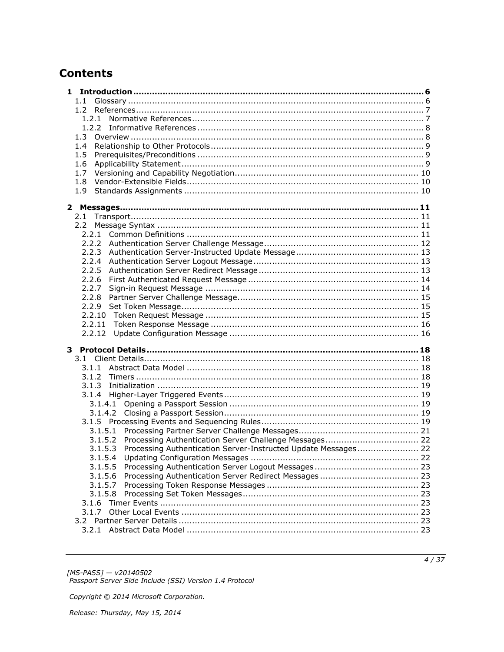# **Contents**

| $1.1 -$                                                                |  |
|------------------------------------------------------------------------|--|
|                                                                        |  |
| 1.2.1                                                                  |  |
|                                                                        |  |
|                                                                        |  |
| 1.4                                                                    |  |
| 1.5                                                                    |  |
| 1.6                                                                    |  |
| 1.7                                                                    |  |
| 1.8                                                                    |  |
| 1.9                                                                    |  |
|                                                                        |  |
| 2.1                                                                    |  |
|                                                                        |  |
| 2.2                                                                    |  |
|                                                                        |  |
| 2.2.3                                                                  |  |
| 2.2.4                                                                  |  |
|                                                                        |  |
| 2.2.5<br>2.2.6                                                         |  |
| 2.2.7                                                                  |  |
| 2.2.8                                                                  |  |
|                                                                        |  |
|                                                                        |  |
| 2.2.11                                                                 |  |
| 2.2.12                                                                 |  |
|                                                                        |  |
|                                                                        |  |
|                                                                        |  |
|                                                                        |  |
|                                                                        |  |
|                                                                        |  |
|                                                                        |  |
| 3.1.4.1                                                                |  |
|                                                                        |  |
|                                                                        |  |
|                                                                        |  |
| 3.1.5.2                                                                |  |
| 3.1.5.3 Processing Authentication Server-Instructed Update Messages 22 |  |
| 3.1.5.4                                                                |  |
| 3.1.5.5                                                                |  |
| 3.1.5.6                                                                |  |
| 3.1.5.7                                                                |  |
| 3.1.5.8                                                                |  |
| 3.1.6                                                                  |  |
| 3.1.7                                                                  |  |
| 3.2                                                                    |  |
|                                                                        |  |

[MS-PASS] — v20140502<br>Passport Server Side Include (SSI) Version 1.4 Protocol

Copyright © 2014 Microsoft Corporation.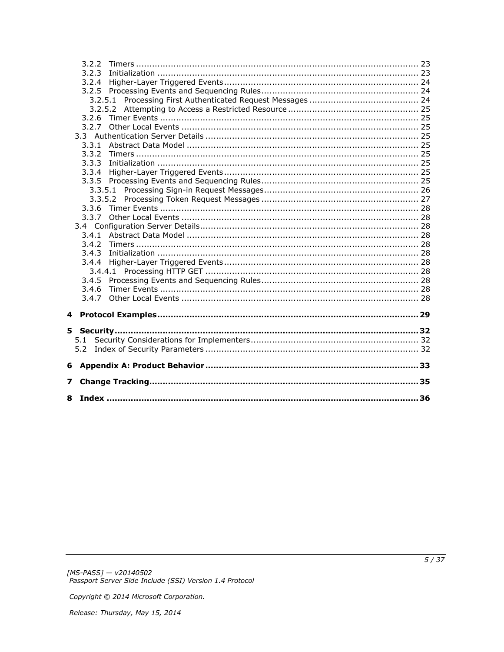|   | 3.2.2 |  |
|---|-------|--|
|   | 3.2.3 |  |
|   | 3.2.4 |  |
|   |       |  |
|   |       |  |
|   |       |  |
|   |       |  |
|   | 3.2.7 |  |
|   |       |  |
|   |       |  |
|   | 3.3.2 |  |
|   | 3.3.3 |  |
|   | 3.3.4 |  |
|   |       |  |
|   |       |  |
|   |       |  |
|   | 3.3.6 |  |
|   | 3.3.7 |  |
|   |       |  |
|   | 3.4.1 |  |
|   | 3.4.2 |  |
|   | 3.4.3 |  |
|   |       |  |
|   |       |  |
|   | 3.4.5 |  |
|   | 3.4.6 |  |
|   | 3.4.7 |  |
| 4 |       |  |
|   |       |  |
|   |       |  |
|   | 5.1   |  |
|   |       |  |
| 6 |       |  |
| 7 |       |  |
|   |       |  |
|   |       |  |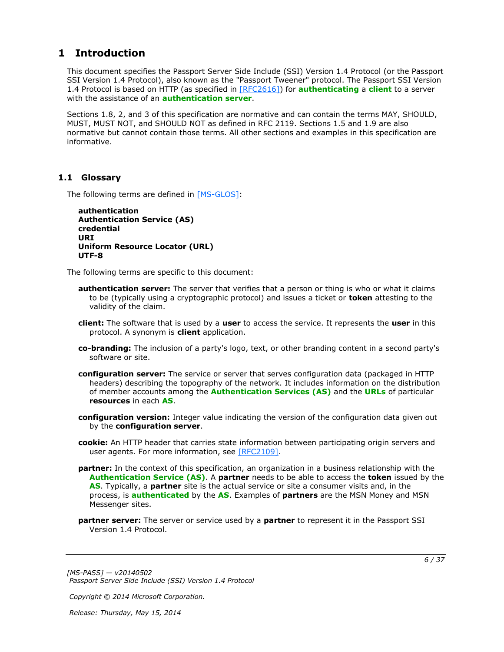## <span id="page-5-0"></span>**1 Introduction**

<span id="page-5-11"></span>This document specifies the Passport Server Side Include (SSI) Version 1.4 Protocol (or the Passport SSI Version 1.4 Protocol), also known as the "Passport Tweener" protocol. The Passport SSI Version 1.4 Protocol is based on HTTP (as specified in [\[RFC2616\]\)](http://go.microsoft.com/fwlink/?LinkId=90372) for **[authenticating](%5bMS-GLOS%5d.pdf)** a **[client](#page-5-2)** to a server with the assistance of an **[authentication server](#page-5-3)**.

Sections 1.8, 2, and 3 of this specification are normative and can contain the terms MAY, SHOULD, MUST, MUST NOT, and SHOULD NOT as defined in RFC 2119. Sections 1.5 and 1.9 are also normative but cannot contain those terms. All other sections and examples in this specification are informative.

## <span id="page-5-1"></span>**1.1 Glossary**

The following terms are defined in [\[MS-GLOS\]:](%5bMS-GLOS%5d.pdf)

```
authentication
Authentication Service (AS)
credential
URI
Uniform Resource Locator (URL)
UTF-8
```
The following terms are specific to this document:

- <span id="page-5-3"></span>**authentication server:** The server that verifies that a person or thing is who or what it claims to be (typically using a cryptographic protocol) and issues a ticket or **token** attesting to the validity of the claim.
- <span id="page-5-2"></span>**client:** The software that is used by a **user** to access the service. It represents the **user** in this protocol. A synonym is **client** application.
- <span id="page-5-9"></span>**co-branding:** The inclusion of a party's logo, text, or other branding content in a second party's software or site.
- <span id="page-5-7"></span>**configuration server:** The service or server that serves configuration data (packaged in HTTP headers) describing the topography of the network. It includes information on the distribution of member accounts among the **[Authentication Services \(AS\)](%5bMS-GLOS%5d.pdf)** and the **[URLs](%5bMS-GLOS%5d.pdf)** of particular **resources** in each **[AS](%5bMS-GLOS%5d.pdf)**.
- <span id="page-5-8"></span>**configuration version:** Integer value indicating the version of the configuration data given out by the **configuration server**.
- <span id="page-5-6"></span>**cookie:** An HTTP header that carries state information between participating origin servers and user agents. For more information, see [\[RFC2109\].](http://go.microsoft.com/fwlink/?LinkId=90315)
- <span id="page-5-5"></span>**partner:** In the context of this specification, an organization in a business relationship with the **[Authentication Service \(AS\)](%5bMS-GLOS%5d.pdf)**. A **partner** needs to be able to access the **token** issued by the **[AS](%5bMS-GLOS%5d.pdf)**. Typically, a **partner** site is the actual service or site a consumer visits and, in the process, is **[authenticated](%5bMS-GLOS%5d.pdf)** by the **[AS](%5bMS-GLOS%5d.pdf)**. Examples of **partners** are the MSN Money and MSN Messenger sites.
- <span id="page-5-4"></span>**partner server:** The server or service used by a **partner** to represent it in the Passport SSI Version 1.4 Protocol.

*[MS-PASS] — v20140502 Passport Server Side Include (SSI) Version 1.4 Protocol* 

*Copyright © 2014 Microsoft Corporation.*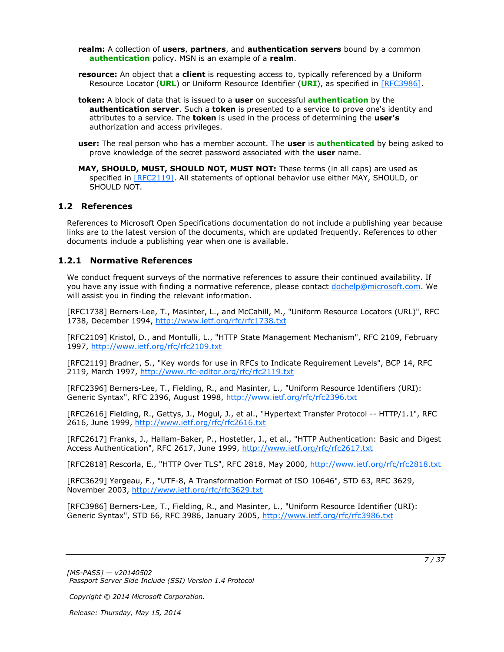<span id="page-6-4"></span>**realm:** A collection of **users**, **partners**, and **authentication servers** bound by a common **[authentication](%5bMS-GLOS%5d.pdf)** policy. MSN is an example of a **realm**.

<span id="page-6-5"></span>**resource:** An object that a **client** is requesting access to, typically referenced by a Uniform Resource Locator (**[URL](%5bMS-GLOS%5d.pdf)**) or Uniform Resource Identifier (**[URI](%5bMS-GLOS%5d.pdf)**), as specified in [\[RFC3986\].](http://go.microsoft.com/fwlink/?LinkId=90453)

<span id="page-6-2"></span>**token:** A block of data that is issued to a **user** on successful **[authentication](%5bMS-GLOS%5d.pdf)** by the **authentication server**. Such a **token** is presented to a service to prove one's identity and attributes to a service. The **token** is used in the process of determining the **user's** authorization and access privileges.

<span id="page-6-3"></span>**user:** The real person who has a member account. The **user** is **[authenticated](%5bMS-GLOS%5d.pdf)** by being asked to prove knowledge of the secret password associated with the **user** name.

**MAY, SHOULD, MUST, SHOULD NOT, MUST NOT:** These terms (in all caps) are used as specified in [\[RFC2119\].](http://go.microsoft.com/fwlink/?LinkId=90317) All statements of optional behavior use either MAY, SHOULD, or SHOULD NOT.

#### <span id="page-6-0"></span>**1.2 References**

References to Microsoft Open Specifications documentation do not include a publishing year because links are to the latest version of the documents, which are updated frequently. References to other documents include a publishing year when one is available.

#### <span id="page-6-1"></span>**1.2.1 Normative References**

<span id="page-6-6"></span>We conduct frequent surveys of the normative references to assure their continued availability. If you have any issue with finding a normative reference, please contact [dochelp@microsoft.com.](mailto:dochelp@microsoft.com) We will assist you in finding the relevant information.

[RFC1738] Berners-Lee, T., Masinter, L., and McCahill, M., "Uniform Resource Locators (URL)", RFC 1738, December 1994, [http://www.ietf.org/rfc/rfc1738.txt](http://go.microsoft.com/fwlink/?LinkId=90287)

[RFC2109] Kristol, D., and Montulli, L., "HTTP State Management Mechanism", RFC 2109, February 1997, [http://www.ietf.org/rfc/rfc2109.txt](http://go.microsoft.com/fwlink/?LinkId=90315)

[RFC2119] Bradner, S., "Key words for use in RFCs to Indicate Requirement Levels", BCP 14, RFC 2119, March 1997, [http://www.rfc-editor.org/rfc/rfc2119.txt](http://go.microsoft.com/fwlink/?LinkId=90317)

[RFC2396] Berners-Lee, T., Fielding, R., and Masinter, L., "Uniform Resource Identifiers (URI): Generic Syntax", RFC 2396, August 1998, [http://www.ietf.org/rfc/rfc2396.txt](http://go.microsoft.com/fwlink/?LinkId=90339)

[RFC2616] Fielding, R., Gettys, J., Mogul, J., et al., "Hypertext Transfer Protocol -- HTTP/1.1", RFC 2616, June 1999, [http://www.ietf.org/rfc/rfc2616.txt](http://go.microsoft.com/fwlink/?LinkId=90372)

[RFC2617] Franks, J., Hallam-Baker, P., Hostetler, J., et al., "HTTP Authentication: Basic and Digest Access Authentication", RFC 2617, June 1999, [http://www.ietf.org/rfc/rfc2617.txt](http://go.microsoft.com/fwlink/?LinkId=90373)

[RFC2818] Rescorla, E., "HTTP Over TLS", RFC 2818, May 2000, [http://www.ietf.org/rfc/rfc2818.txt](http://go.microsoft.com/fwlink/?LinkId=90383)

[RFC3629] Yergeau, F., "UTF-8, A Transformation Format of ISO 10646", STD 63, RFC 3629, November 2003, [http://www.ietf.org/rfc/rfc3629.txt](http://go.microsoft.com/fwlink/?LinkId=90439)

[RFC3986] Berners-Lee, T., Fielding, R., and Masinter, L., "Uniform Resource Identifier (URI): Generic Syntax", STD 66, RFC 3986, January 2005, [http://www.ietf.org/rfc/rfc3986.txt](http://go.microsoft.com/fwlink/?LinkId=90453)

*[MS-PASS] — v20140502 Passport Server Side Include (SSI) Version 1.4 Protocol* 

*Copyright © 2014 Microsoft Corporation.*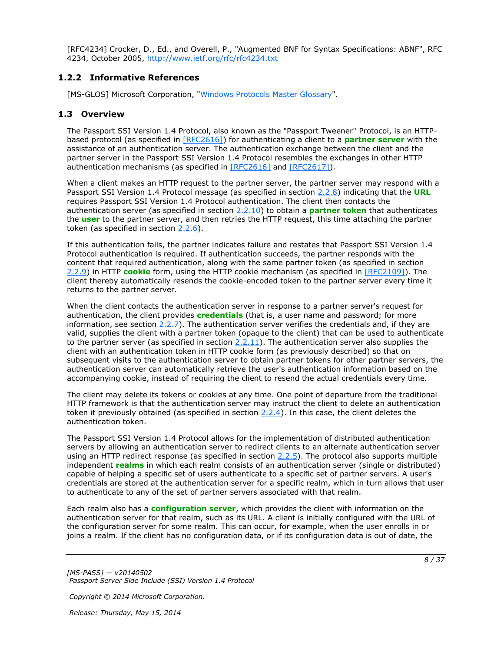[RFC4234] Crocker, D., Ed., and Overell, P., "Augmented BNF for Syntax Specifications: ABNF", RFC 4234, October 2005, [http://www.ietf.org/rfc/rfc4234.txt](http://go.microsoft.com/fwlink/?LinkId=90462)

## <span id="page-7-0"></span>**1.2.2 Informative References**

<span id="page-7-3"></span><span id="page-7-2"></span>[MS-GLOS] Microsoft Corporation, ["Windows Protocols Master Glossary"](%5bMS-GLOS%5d.pdf).

## <span id="page-7-1"></span>**1.3 Overview**

The Passport SSI Version 1.4 Protocol, also known as the "Passport Tweener" Protocol, is an HTTPbased protocol (as specified in [\[RFC2616\]\)](http://go.microsoft.com/fwlink/?LinkId=90372) for authenticating a client to a **[partner server](#page-5-4)** with the assistance of an authentication server. The authentication exchange between the client and the partner server in the Passport SSI Version 1.4 Protocol resembles the exchanges in other HTTP authentication mechanisms (as specified in  $[RFC2616]$  and  $[RFC2617]$ ).

When a client makes an HTTP request to the partner server, the partner server may respond with a Passport SSI Version 1.4 Protocol message (as specified in section [2.2.8\)](#page-14-3) indicating that the **[URL](%5bMS-GLOS%5d.pdf)** requires Passport SSI Version 1.4 Protocol authentication. The client then contacts the authentication server (as specified in section [2.2.10\)](#page-14-4) to obtain a **[partner](#page-5-5) [token](#page-6-2)** that authenticates the **[user](#page-6-3)** to the partner server, and then retries the HTTP request, this time attaching the partner token (as specified in section [2.2.6\)](#page-13-2).

If this authentication fails, the partner indicates failure and restates that Passport SSI Version 1.4 Protocol authentication is required. If authentication succeeds, the partner responds with the content that required authentication, along with the same partner token (as specified in section [2.2.9\)](#page-14-5) in HTTP **[cookie](#page-5-6)** form, using the HTTP cookie mechanism (as specified in [\[RFC2109\]\)](http://go.microsoft.com/fwlink/?LinkId=90315). The client thereby automatically resends the cookie-encoded token to the partner server every time it returns to the partner server.

When the client contacts the authentication server in response to a partner server's request for authentication, the client provides **[credentials](%5bMS-GLOS%5d.pdf)** (that is, a user name and password; for more information, see section  $2.2.7$ ). The authentication server verifies the credentials and, if they are valid, supplies the client with a partner token (opaque to the client) that can be used to authenticate to the partner server (as specified in section  $2.2.11$ ). The authentication server also supplies the client with an authentication token in HTTP cookie form (as previously described) so that on subsequent visits to the authentication server to obtain partner tokens for other partner servers, the authentication server can automatically retrieve the user's authentication information based on the accompanying cookie, instead of requiring the client to resend the actual credentials every time.

The client may delete its tokens or cookies at any time. One point of departure from the traditional HTTP framework is that the authentication server may instruct the client to delete an authentication token it previously obtained (as specified in section  $2.2.4$ ). In this case, the client deletes the authentication token.

The Passport SSI Version 1.4 Protocol allows for the implementation of distributed authentication servers by allowing an authentication server to redirect clients to an alternate authentication server using an HTTP redirect response (as specified in section [2.2.5\)](#page-12-4). The protocol also supports multiple independent **[realms](#page-6-4)** in which each realm consists of an authentication server (single or distributed) capable of helping a specific set of users authenticate to a specific set of partner servers. A user's credentials are stored at the authentication server for a specific realm, which in turn allows that user to authenticate to any of the set of partner servers associated with that realm.

Each realm also has a **[configuration server](#page-5-7)**, which provides the client with information on the authentication server for that realm, such as its URL. A client is initially configured with the URL of the configuration server for some realm. This can occur, for example, when the user enrolls in or joins a realm. If the client has no configuration data, or if its configuration data is out of date, the

*Copyright © 2014 Microsoft Corporation.*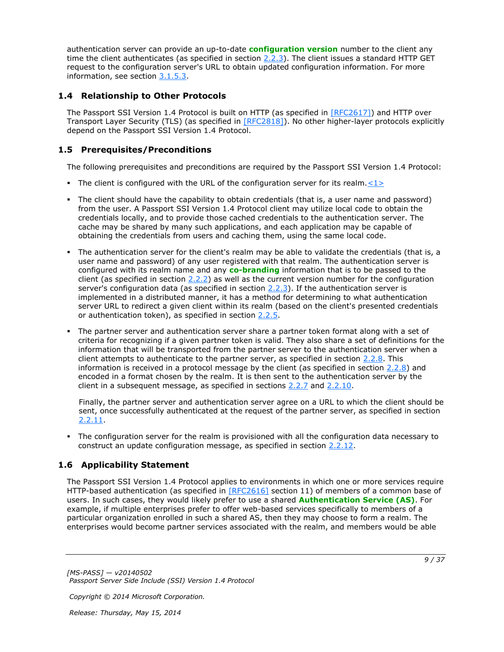authentication server can provide an up-to-date **[configuration version](#page-5-8)** number to the client any time the client authenticates (as specified in section  $2.2.3$ ). The client issues a standard HTTP GET request to the configuration server's URL to obtain updated configuration information. For more information, see section [3.1.5.3.](#page-21-3)

## <span id="page-8-0"></span>**1.4 Relationship to Other Protocols**

<span id="page-8-6"></span>The Passport SSI Version 1.4 Protocol is built on HTTP (as specified in [\[RFC2617\]\)](http://go.microsoft.com/fwlink/?LinkId=90373) and HTTP over Transport Layer Security (TLS) (as specified in [\[RFC2818\]\)](http://go.microsoft.com/fwlink/?LinkId=90383). No other higher-layer protocols explicitly depend on the Passport SSI Version 1.4 Protocol.

## <span id="page-8-1"></span>**1.5 Prerequisites/Preconditions**

<span id="page-8-3"></span>The following prerequisites and preconditions are required by the Passport SSI Version 1.4 Protocol:

- <span id="page-8-4"></span>The client is configured with the URL of the configuration server for its realm.  $\langle 1 \rangle$
- The client should have the capability to obtain credentials (that is, a user name and password) from the user. A Passport SSI Version 1.4 Protocol client may utilize local code to obtain the credentials locally, and to provide those cached credentials to the authentication server. The cache may be shared by many such applications, and each application may be capable of obtaining the credentials from users and caching them, using the same local code.
- The authentication server for the client's realm may be able to validate the credentials (that is, a user name and password) of any user registered with that realm. The authentication server is configured with its realm name and any **[co-branding](#page-5-9)** information that is to be passed to the client (as specified in section  $2.2.2$ ) as well as the current version number for the configuration server's configuration data (as specified in section  $2.2.3$ ). If the authentication server is implemented in a distributed manner, it has a method for determining to what authentication server URL to redirect a given client within its realm (based on the client's presented credentials or authentication token), as specified in section [2.2.5.](#page-12-4)
- The partner server and authentication server share a partner token format along with a set of criteria for recognizing if a given partner token is valid. They also share a set of definitions for the information that will be transported from the partner server to the authentication server when a client attempts to authenticate to the partner server, as specified in section [2.2.8.](#page-14-3) This information is received in a protocol message by the client (as specified in section [2.2.8\)](#page-14-3) and encoded in a format chosen by the realm. It is then sent to the authentication server by the client in a subsequent message, as specified in sections [2.2.7](#page-13-3) and [2.2.10.](#page-14-4)

Finally, the partner server and authentication server agree on a URL to which the client should be sent, once successfully authenticated at the request of the partner server, as specified in section [2.2.11.](#page-15-2)

 The configuration server for the realm is provisioned with all the configuration data necessary to construct an update configuration message, as specified in section [2.2.12.](#page-15-3)

## <span id="page-8-2"></span>**1.6 Applicability Statement**

<span id="page-8-5"></span>The Passport SSI Version 1.4 Protocol applies to environments in which one or more services require HTTP-based authentication (as specified in [\[RFC2616\]](http://go.microsoft.com/fwlink/?LinkId=90372) section 11) of members of a common base of users. In such cases, they would likely prefer to use a shared **[Authentication Service \(AS\)](%5bMS-GLOS%5d.pdf)**. For example, if multiple enterprises prefer to offer web-based services specifically to members of a particular organization enrolled in such a shared AS, then they may choose to form a realm. The enterprises would become partner services associated with the realm, and members would be able

*[MS-PASS] — v20140502 Passport Server Side Include (SSI) Version 1.4 Protocol* 

*Copyright © 2014 Microsoft Corporation.*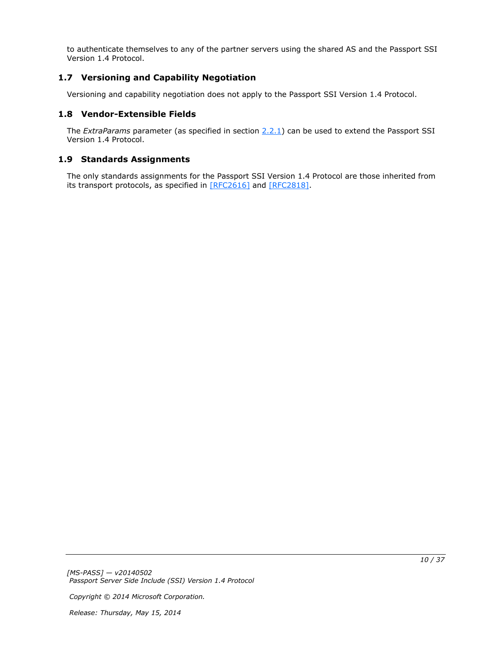to authenticate themselves to any of the partner servers using the shared AS and the Passport SSI Version 1.4 Protocol.

## <span id="page-9-0"></span>**1.7 Versioning and Capability Negotiation**

<span id="page-9-4"></span><span id="page-9-3"></span>Versioning and capability negotiation does not apply to the Passport SSI Version 1.4 Protocol.

### <span id="page-9-1"></span>**1.8 Vendor-Extensible Fields**

The *ExtraParams* parameter (as specified in section [2.2.1\)](#page-10-4) can be used to extend the Passport SSI Version 1.4 Protocol.

### <span id="page-9-2"></span>**1.9 Standards Assignments**

<span id="page-9-5"></span>The only standards assignments for the Passport SSI Version 1.4 Protocol are those inherited from its transport protocols, as specified in [\[RFC2616\]](http://go.microsoft.com/fwlink/?LinkId=90372) and [\[RFC2818\].](http://go.microsoft.com/fwlink/?LinkId=90383)

*[MS-PASS] — v20140502 Passport Server Side Include (SSI) Version 1.4 Protocol* 

*Copyright © 2014 Microsoft Corporation.*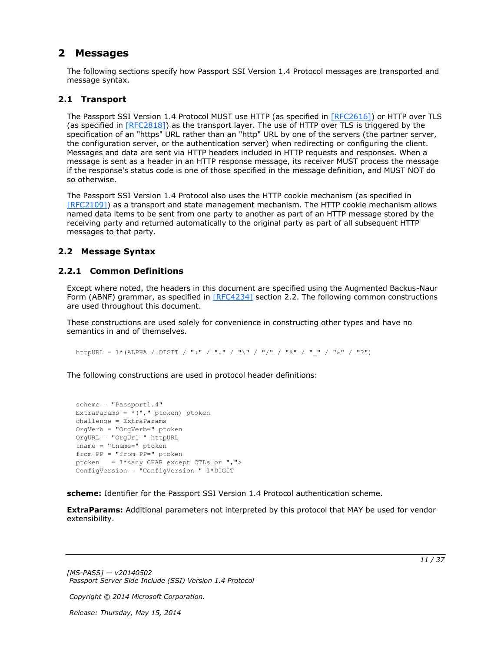## <span id="page-10-0"></span>**2 Messages**

<span id="page-10-5"></span>The following sections specify how Passport SSI Version 1.4 Protocol messages are transported and message syntax.

## <span id="page-10-1"></span>**2.1 Transport**

<span id="page-10-7"></span>The Passport SSI Version 1.4 Protocol MUST use HTTP (as specified in [\[RFC2616\]\)](http://go.microsoft.com/fwlink/?LinkId=90372) or HTTP over TLS (as specified in  $[REC2818]$ ) as the transport layer. The use of HTTP over TLS is triggered by the specification of an "https" URL rather than an "http" URL by one of the servers (the partner server, the configuration server, or the authentication server) when redirecting or configuring the client. Messages and data are sent via HTTP headers included in HTTP requests and responses. When a message is sent as a header in an HTTP response message, its receiver MUST process the message if the response's status code is one of those specified in the message definition, and MUST NOT do so otherwise.

The Passport SSI Version 1.4 Protocol also uses the HTTP cookie mechanism (as specified in [\[RFC2109\]\)](http://go.microsoft.com/fwlink/?LinkId=90315) as a transport and state management mechanism. The HTTP cookie mechanism allows named data items to be sent from one party to another as part of an HTTP message stored by the receiving party and returned automatically to the original party as part of all subsequent HTTP messages to that party.

## <span id="page-10-6"></span><span id="page-10-2"></span>**2.2 Message Syntax**

## <span id="page-10-3"></span>**2.2.1 Common Definitions**

<span id="page-10-4"></span>Except where noted, the headers in this document are specified using the Augmented Backus-Naur Form (ABNF) grammar, as specified in  $[REC4234]$  section 2.2. The following common constructions are used throughout this document.

These constructions are used solely for convenience in constructing other types and have no semantics in and of themselves.

httpURL = 1\*(ALPHA / DIGIT / ":" / "." / "\" / "/" / "%" / "\_" / "&" / "?")

The following constructions are used in protocol header definitions:

```
scheme = "Passport1.4"
ExtraParams = *(", "ptoken) ptoken
challenge = ExtraParams
OrgVerb = "OrgVerb=" ptoken 
OrgURL = "OrgUrl=" httpURL
tname = "tname=" ptoken
from-PP = "from-PP=" ptoken
ptoken = 1*<any CHAR except CTLs or ", ">
ConfigVersion = "ConfigVersion=" 1*DIGIT
```
**scheme:** Identifier for the Passport SSI Version 1.4 Protocol authentication scheme.

**ExtraParams:** Additional parameters not interpreted by this protocol that MAY be used for vendor extensibility.

*[MS-PASS] — v20140502 Passport Server Side Include (SSI) Version 1.4 Protocol* 

*Copyright © 2014 Microsoft Corporation.*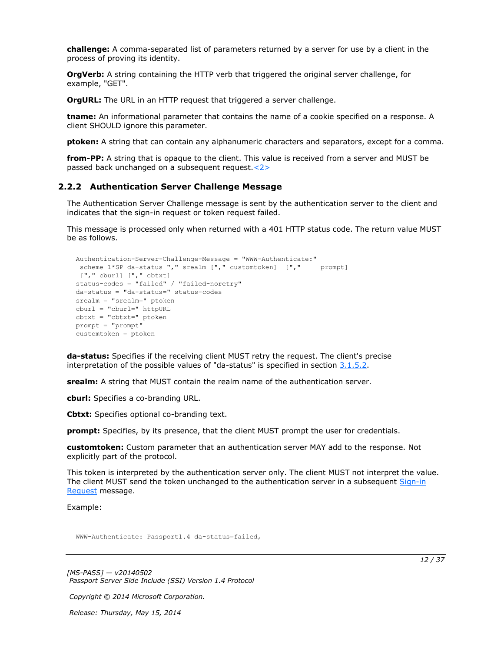**challenge:** A comma-separated list of parameters returned by a server for use by a client in the process of proving its identity.

**OrgVerb:** A string containing the HTTP verb that triggered the original server challenge, for example, "GET".

**OrgURL:** The URL in an HTTP request that triggered a server challenge.

**tname:** An informational parameter that contains the name of a cookie specified on a response. A client SHOULD ignore this parameter.

**ptoken:** A string that can contain any alphanumeric characters and separators, except for a comma.

<span id="page-11-2"></span>**from-PP:** A string that is opaque to the client. This value is received from a server and MUST be passed back unchanged on a subsequent request[.<2>](#page-32-2)

#### <span id="page-11-0"></span>**2.2.2 Authentication Server Challenge Message**

<span id="page-11-1"></span>The Authentication Server Challenge message is sent by the authentication server to the client and indicates that the sign-in request or token request failed.

This message is processed only when returned with a 401 HTTP status code. The return value MUST be as follows.

```
Authentication-Server-Challenge-Message = "WWW-Authenticate:"
 scheme 1*SP da-status "," srealm ["," customtoken] ["," prompt]
["," cburl] ["," cbtxt] 
status-codes = "failed" / "failed-noretry"
da-status = "da-status=" status-codes
srealm = "srealm=" ptoken
cburl = "cburl=" httpURL
cbtxt = "cbtxt=" ptoken
prompt = "prompt"
customtoken = ptoken
```
**da-status:** Specifies if the receiving client MUST retry the request. The client's precise interpretation of the possible values of "da-status" is specified in section  $3.1.5.2$ .

**srealm:** A string that MUST contain the realm name of the authentication server.

**cburl:** Specifies a co-branding URL.

**Cbtxt:** Specifies optional co-branding text.

**prompt:** Specifies, by its presence, that the client MUST prompt the user for credentials.

**customtoken:** Custom parameter that an authentication server MAY add to the response. Not explicitly part of the protocol.

This token is interpreted by the authentication server only. The client MUST not interpret the value. The client MUST send the token unchanged to the authentication server in a subsequent Sign-in [Request](#page-13-3) message.

Example:

WWW-Authenticate: Passport1.4 da-status=failed,

*[MS-PASS] — v20140502 Passport Server Side Include (SSI) Version 1.4 Protocol* 

*Copyright © 2014 Microsoft Corporation.*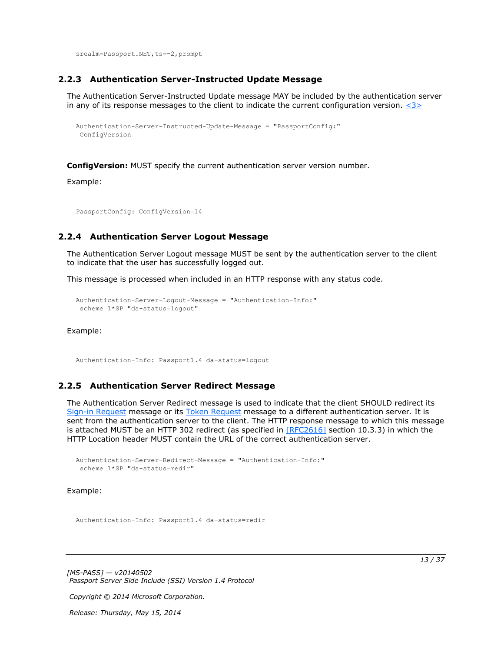<span id="page-12-5"></span>srealm=Passport.NET, ts = - 2, prompt

#### <span id="page-12-0"></span>**2.2.3 Authentication Server-Instructed Update Message**

The Authentication Server-Instructed Update message MAY be included by the authentication server in any of its response messages to the client to indicate the current configuration version.  $\langle 3 \rangle$ 

```
Authentication-Server-Instructed-Update-Message = "PassportConfig:"
ConfigVersion
```
**ConfigVersion:** MUST specify the current authentication server version number.

Example:

<span id="page-12-3"></span>PassportConfig: ConfigVersion=14

#### <span id="page-12-1"></span>**2.2.4 Authentication Server Logout Message**

The Authentication Server Logout message MUST be sent by the authentication server to the client to indicate that the user has successfully logged out.

This message is processed when included in an HTTP response with any status code.

```
Authentication-Server-Logout-Message = "Authentication-Info:"
scheme 1*SP "da-status=logout"
```
Example:

<span id="page-12-4"></span>Authentication-Info: Passport1.4 da-status=logout

## <span id="page-12-2"></span>**2.2.5 Authentication Server Redirect Message**

The Authentication Server Redirect message is used to indicate that the client SHOULD redirect its [Sign-in Request](#page-13-3) message or its [Token Request](#page-14-4) message to a different authentication server. It is sent from the authentication server to the client. The HTTP response message to which this message is attached MUST be an HTTP 302 redirect (as specified in [\[RFC2616\]](http://go.microsoft.com/fwlink/?LinkId=90372) section 10.3.3) in which the HTTP Location header MUST contain the URL of the correct authentication server.

```
Authentication-Server-Redirect-Message = "Authentication-Info:"
 scheme 1*SP "da-status=redir"
```
Example:

Authentication-Info: Passport1.4 da-status=redir

*[MS-PASS] — v20140502 Passport Server Side Include (SSI) Version 1.4 Protocol* 

*Copyright © 2014 Microsoft Corporation.*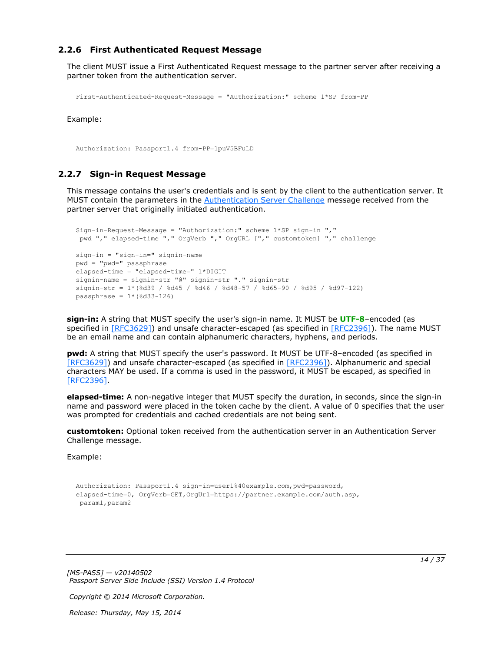## <span id="page-13-0"></span>**2.2.6 First Authenticated Request Message**

The client MUST issue a First Authenticated Request message to the partner server after receiving a partner token from the authentication server.

```
First-Authenticated-Request-Message = "Authorization:" scheme 1*SP from-PP
```
Example:

<span id="page-13-3"></span>Authorization: Passport1.4 from-PP=1puV5BFuLD

### <span id="page-13-1"></span>**2.2.7 Sign-in Request Message**

This message contains the user's credentials and is sent by the client to the authentication server. It MUST contain the parameters in the [Authentication Server Challenge](#page-11-1) message received from the partner server that originally initiated authentication.

```
Sign-in-Request-Message = "Authorization:" scheme 1*SP sign-in ","
 pwd "," elapsed-time "," OrgVerb "," OrgURL ["," customtoken] "," challenge
sign-in = "sign-in=" signin-name
pwd = "pwd=" passphrase
elapsed-time = "elapsed-time=" 1*DIGIT
signin-name = signin-str "@" signin-str "." signin-str
signin-str = 1*(%d39 / %d45 / %d46 / %d48-57 / %d65-90 / %d95 / %d97-122)
passphrase = 1*(8d33-126)
```
**sign-in:** A string that MUST specify the user's sign-in name. It MUST be **[UTF-8](%5bMS-GLOS%5d.pdf)**–encoded (as specified in [\[RFC3629\]\)](http://go.microsoft.com/fwlink/?LinkId=90439) and unsafe character-escaped (as specified in [\[RFC2396\]\)](http://go.microsoft.com/fwlink/?LinkId=90339). The name MUST be an email name and can contain alphanumeric characters, hyphens, and periods.

**pwd:** A string that MUST specify the user's password. It MUST be UTF-8–encoded (as specified in [\[RFC3629\]\)](http://go.microsoft.com/fwlink/?LinkId=90439) and unsafe character-escaped (as specified in [\[RFC2396\]\)](http://go.microsoft.com/fwlink/?LinkId=90339). Alphanumeric and special characters MAY be used. If a comma is used in the password, it MUST be escaped, as specified in [\[RFC2396\].](http://go.microsoft.com/fwlink/?LinkId=90339)

**elapsed-time:** A non-negative integer that MUST specify the duration, in seconds, since the sign-in name and password were placed in the token cache by the client. A value of 0 specifies that the user was prompted for credentials and cached credentials are not being sent.

**customtoken:** Optional token received from the authentication server in an Authentication Server Challenge message.

Example:

```
Authorization: Passport1.4 sign-in=user1%40example.com,pwd=password,
elapsed-time=0, OrgVerb=GET,OrgUrl=https://partner.example.com/auth.asp,
param1,param2
```
*[MS-PASS] — v20140502 Passport Server Side Include (SSI) Version 1.4 Protocol* 

*Copyright © 2014 Microsoft Corporation.*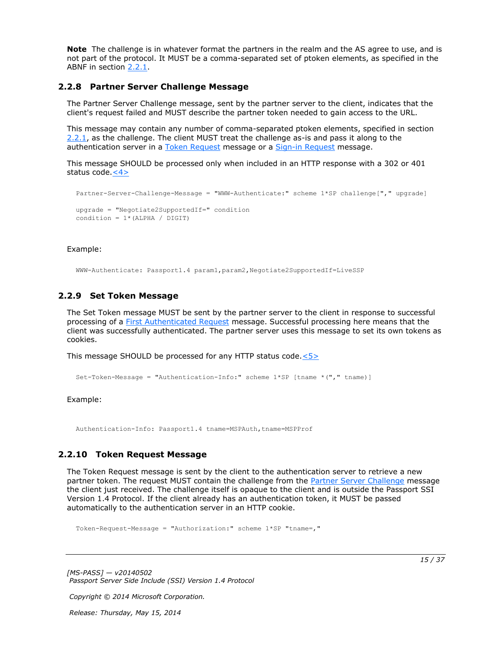**Note** The challenge is in whatever format the partners in the realm and the AS agree to use, and is not part of the protocol. It MUST be a comma-separated set of ptoken elements, as specified in the ABNF in section [2.2.1.](#page-10-4)

#### <span id="page-14-0"></span>**2.2.8 Partner Server Challenge Message**

<span id="page-14-3"></span>The Partner Server Challenge message, sent by the partner server to the client, indicates that the client's request failed and MUST describe the partner token needed to gain access to the URL.

This message may contain any number of comma-separated ptoken elements, specified in section [2.2.1,](#page-10-4) as the challenge. The client MUST treat the challenge as-is and pass it along to the authentication server in a [Token Request](#page-14-4) message or a [Sign-in Request](#page-13-3) message.

This message SHOULD be processed only when included in an HTTP response with a 302 or 401 status code. $\leq 4>$ 

```
Partner-Server-Challenge-Message = "WWW-Authenticate:" scheme 1*SP challenge["," upgrade]
upgrade = "Negotiate2SupportedIf=" condition
condition = 1* (ALPHA / DIGIT)
```
#### Example:

<span id="page-14-5"></span>WWW-Authenticate: Passport1.4 param1,param2,Negotiate2SupportedIf=LiveSSP

#### <span id="page-14-1"></span>**2.2.9 Set Token Message**

The Set Token message MUST be sent by the partner server to the client in response to successful processing of a [First Authenticated Request](#page-13-2) message. Successful processing here means that the client was successfully authenticated. The partner server uses this message to set its own tokens as cookies.

This message SHOULD be processed for any HTTP status code[.<5>](#page-32-5)

```
Set-Token-Message = "Authentication-Info:" scheme 1*SP [tname *("," tname)]
```
#### Example:

<span id="page-14-4"></span>Authentication-Info: Passport1.4 tname=MSPAuth,tname=MSPProf

#### <span id="page-14-2"></span>**2.2.10 Token Request Message**

The Token Request message is sent by the client to the authentication server to retrieve a new partner token. The request MUST contain the challenge from the [Partner Server Challenge](#page-14-3) message the client just received. The challenge itself is opaque to the client and is outside the Passport SSI Version 1.4 Protocol. If the client already has an authentication token, it MUST be passed automatically to the authentication server in an HTTP cookie.

Token-Request-Message = "Authorization:" scheme 1\*SP "tname=,"

*[MS-PASS] — v20140502 Passport Server Side Include (SSI) Version 1.4 Protocol* 

*Copyright © 2014 Microsoft Corporation.*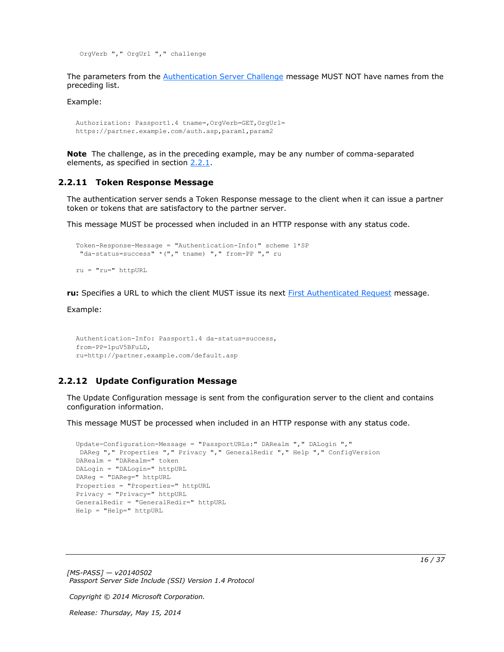OrgVerb "," OrgUrl "," challenge

The parameters from the [Authentication Server Challenge](#page-11-1) message MUST NOT have names from the preceding list.

Example:

```
Authorization: Passport1.4 tname=,OrgVerb=GET,OrgUrl=
https://partner.example.com/auth.asp,param1,param2
```
<span id="page-15-2"></span>**Note** The challenge, as in the preceding example, may be any number of comma-separated elements, as specified in section [2.2.1.](#page-10-4)

#### <span id="page-15-0"></span>**2.2.11 Token Response Message**

The authentication server sends a Token Response message to the client when it can issue a partner token or tokens that are satisfactory to the partner server.

This message MUST be processed when included in an HTTP response with any status code.

```
Token-Response-Message = "Authentication-Info:" scheme 1*SP
 "da-status=success" *("," tname) "," from-PP "," ru
ru = "ru=" httpURL
```
**ru:** Specifies a URL to which the client MUST issue its next [First Authenticated Request](#page-13-2) message.

Example:

```
Authentication-Info: Passport1.4 da-status=success,
from-PP=1puV5BFuLD,
ru=http://partner.example.com/default.asp
```
#### <span id="page-15-1"></span>**2.2.12 Update Configuration Message**

The Update Configuration message is sent from the configuration server to the client and contains configuration information.

This message MUST be processed when included in an HTTP response with any status code.

```
Update-Configuration-Message = "PassportURLs:" DARealm "," DALogin ","
DAReg "," Properties "," Privacy "," GeneralRedir "," Help "," ConfigVersion
DARealm = "DARealm=" token
DALogin = "DALogin=" httpURL
DAReg = "DAReg=" httpURL
Properties = "Properties=" httpURL
Privacy = "Privacy=" httpURL
GeneralRedir = "GeneralRedir=" httpURL
Help = "Help=" httpURL
```
*[MS-PASS] — v20140502 Passport Server Side Include (SSI) Version 1.4 Protocol* 

*Copyright © 2014 Microsoft Corporation.*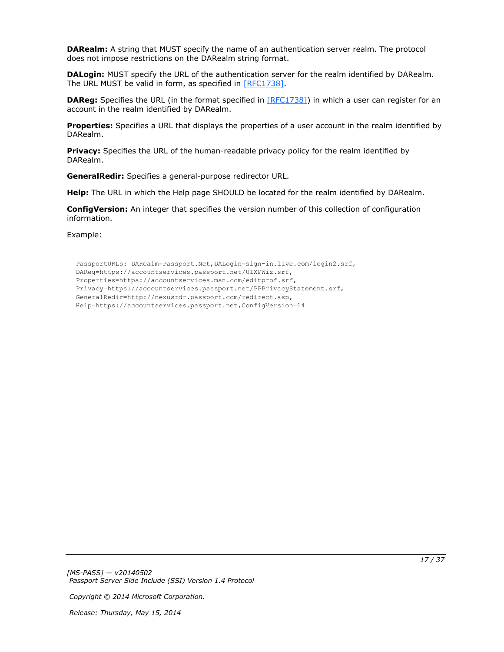**DARealm:** A string that MUST specify the name of an authentication server realm. The protocol does not impose restrictions on the DARealm string format.

**DALogin:** MUST specify the URL of the authentication server for the realm identified by DARealm. The URL MUST be valid in form, as specified in [\[RFC1738\].](http://go.microsoft.com/fwlink/?LinkId=90287)

**DAReg:** Specifies the URL (in the format specified in [\[RFC1738\]\)](http://go.microsoft.com/fwlink/?LinkId=90287) in which a user can register for an account in the realm identified by DARealm.

**Properties:** Specifies a URL that displays the properties of a user account in the realm identified by DARealm.

**Privacy:** Specifies the URL of the human-readable privacy policy for the realm identified by DARealm.

**GeneralRedir:** Specifies a general-purpose redirector URL.

**Help:** The URL in which the Help page SHOULD be located for the realm identified by DARealm.

**ConfigVersion:** An integer that specifies the version number of this collection of configuration information.

Example:

PassportURLs: DARealm=Passport.Net,DALogin=sign-in.live.com/login2.srf, DAReg=https://accountservices.passport.net/UIXPWiz.srf, Properties=https://accountservices.msn.com/editprof.srf, Privacy=https://accountservices.passport.net/PPPrivacyStatement.srf, GeneralRedir=http://nexusrdr.passport.com/redirect.asp, Help=https://accountservices.passport.net,ConfigVersion=14

*[MS-PASS] — v20140502 Passport Server Side Include (SSI) Version 1.4 Protocol* 

*Copyright © 2014 Microsoft Corporation.*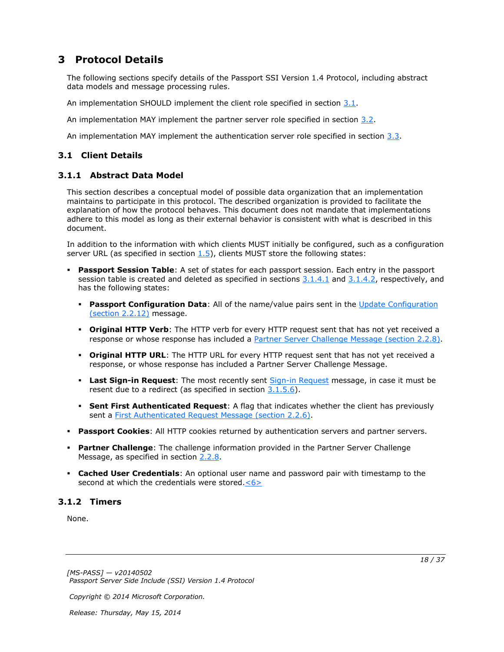# <span id="page-17-0"></span>**3 Protocol Details**

The following sections specify details of the Passport SSI Version 1.4 Protocol, including abstract data models and message processing rules.

An implementation SHOULD implement the client role specified in section [3.1.](#page-17-4)

An implementation MAY implement the partner server role specified in section [3.2.](#page-22-10)

<span id="page-17-4"></span>An implementation MAY implement the authentication server role specified in section  $3.3$ .

## <span id="page-17-1"></span>**3.1 Client Details**

## <span id="page-17-2"></span>**3.1.1 Abstract Data Model**

<span id="page-17-5"></span>This section describes a conceptual model of possible data organization that an implementation maintains to participate in this protocol. The described organization is provided to facilitate the explanation of how the protocol behaves. This document does not mandate that implementations adhere to this model as long as their external behavior is consistent with what is described in this document.

In addition to the information with which clients MUST initially be configured, such as a configuration server URL (as specified in section  $1.5$ ), clients MUST store the following states:

- **Passport Session Table**: A set of states for each passport session. Each entry in the passport session table is created and deleted as specified in sections  $3.1.4.1$  and  $3.1.4.2$ , respectively, and has the following states:
	- **Passport Configuration Data**: All of the name/value pairs sent in the Update Configuration [\(section 2.2.12\)](#page-15-3) message.
	- **Original HTTP Verb**: The HTTP verb for every HTTP request sent that has not yet received a response or whose response has included a [Partner Server Challenge Message \(section 2.2.8\).](#page-14-3)
	- **Original HTTP URL**: The HTTP URL for every HTTP request sent that has not yet received a response, or whose response has included a Partner Server Challenge Message.
	- **Last Sign-in Request**: The most recently sent [Sign-in Request](#page-13-3) message, in case it must be resent due to a redirect (as specified in section  $3.1.5.6$ ).
	- **Sent First Authenticated Request**: A flag that indicates whether the client has previously sent a [First Authenticated Request Message \(section 2.2.6\).](#page-13-2)
- **Passport Cookies**: All HTTP cookies returned by authentication servers and partner servers.
- **Partner Challenge**: The challenge information provided in the Partner Server Challenge Message, as specified in section [2.2.8.](#page-14-3)
- <span id="page-17-6"></span> **Cached User Credentials**: An optional user name and password pair with timestamp to the second at which the credentials were stored. $\leq 6$

## <span id="page-17-3"></span>**3.1.2 Timers**

<span id="page-17-7"></span>None.

*Copyright © 2014 Microsoft Corporation.*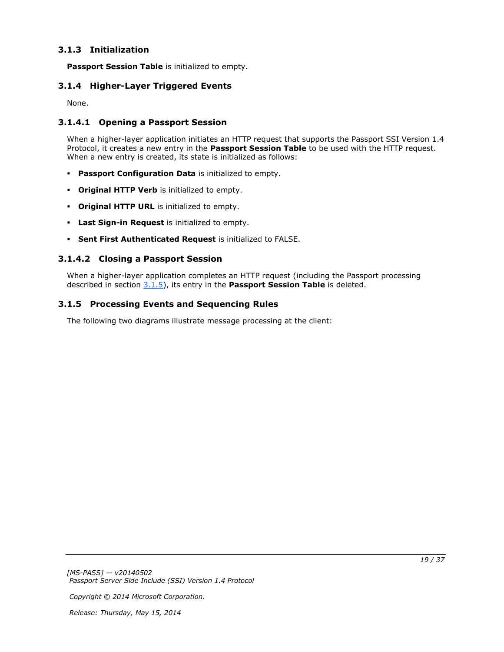## <span id="page-18-0"></span>**3.1.3 Initialization**

<span id="page-18-9"></span><span id="page-18-8"></span>**Passport Session Table** is initialized to empty.

## <span id="page-18-1"></span>**3.1.4 Higher-Layer Triggered Events**

<span id="page-18-5"></span>None.

## <span id="page-18-2"></span>**3.1.4.1 Opening a Passport Session**

When a higher-layer application initiates an HTTP request that supports the Passport SSI Version 1.4 Protocol, it creates a new entry in the **Passport Session Table** to be used with the HTTP request. When a new entry is created, its state is initialized as follows:

- **Passport Configuration Data** is initialized to empty.
- **Original HTTP Verb** is initialized to empty.
- **Original HTTP URL** is initialized to empty.
- **Last Sign-in Request** is initialized to empty.
- <span id="page-18-6"></span>**Sent First Authenticated Request** is initialized to FALSE.

## <span id="page-18-3"></span>**3.1.4.2 Closing a Passport Session**

<span id="page-18-7"></span>When a higher-layer application completes an HTTP request (including the Passport processing described in section [3.1.5\)](#page-18-7), its entry in the **Passport Session Table** is deleted.

## <span id="page-18-4"></span>**3.1.5 Processing Events and Sequencing Rules**

The following two diagrams illustrate message processing at the client:

*Copyright © 2014 Microsoft Corporation.*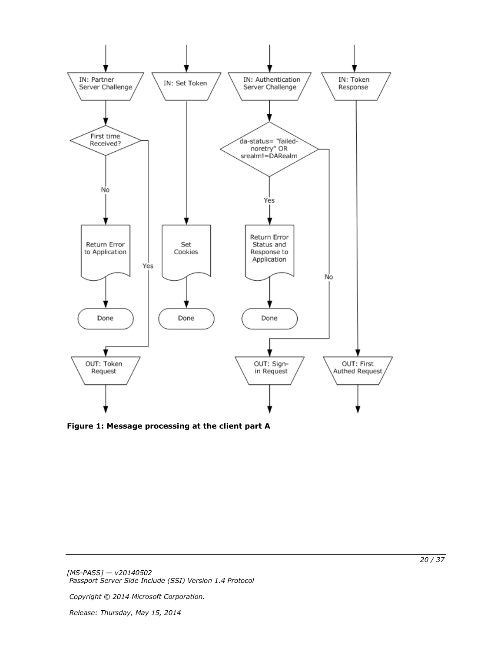

**Figure 1: Message processing at the client part A**

*Copyright © 2014 Microsoft Corporation.*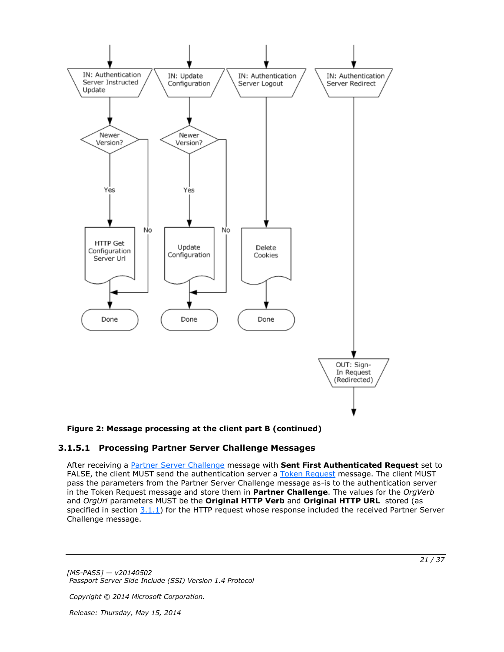

#### **Figure 2: Message processing at the client part B (continued)**

## <span id="page-20-0"></span>**3.1.5.1 Processing Partner Server Challenge Messages**

<span id="page-20-1"></span>After receiving a [Partner Server Challenge](#page-14-3) message with **Sent First Authenticated Request** set to FALSE, the client MUST send the authentication server a [Token Request](#page-14-4) message. The client MUST pass the parameters from the Partner Server Challenge message as-is to the authentication server in the Token Request message and store them in **Partner Challenge**. The values for the *OrgVerb* and *OrgUrl* parameters MUST be the **Original HTTP Verb** and **Original HTTP URL** stored (as specified in section  $3.1.1$ ) for the HTTP request whose response included the received Partner Server Challenge message.

*[MS-PASS] — v20140502 Passport Server Side Include (SSI) Version 1.4 Protocol* 

*Copyright © 2014 Microsoft Corporation.*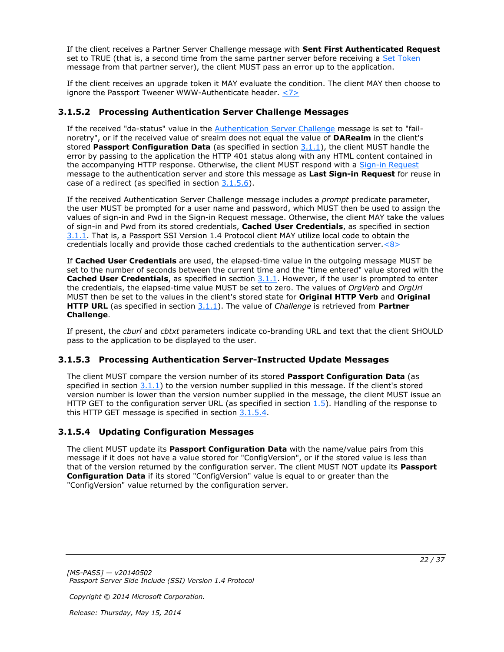If the client receives a Partner Server Challenge message with **Sent First Authenticated Request** set to TRUE (that is, a second time from the same partner server before receiving a [Set Token](#page-14-5) message from that partner server), the client MUST pass an error up to the application.

<span id="page-21-6"></span>If the client receives an upgrade token it MAY evaluate the condition. The client MAY then choose to ignore the Passport Tweener WWW-Authenticate header.  $\leq 7$ 

## <span id="page-21-0"></span>**3.1.5.2 Processing Authentication Server Challenge Messages**

<span id="page-21-4"></span>If the received "da-status" value in the **Authentication Server Challenge message is set to "fail**noretry", or if the received value of srealm does not equal the value of **DARealm** in the client's stored **Passport Configuration Data** (as specified in section [3.1.1\)](#page-17-5), the client MUST handle the error by passing to the application the HTTP 401 status along with any HTML content contained in the accompanying HTTP response. Otherwise, the client MUST respond with a [Sign-in Request](#page-13-3) message to the authentication server and store this message as **Last Sign-in Request** for reuse in case of a redirect (as specified in section [3.1.5.6\)](#page-22-11).

If the received Authentication Server Challenge message includes a *prompt* predicate parameter, the user MUST be prompted for a user name and password, which MUST then be used to assign the values of sign-in and Pwd in the Sign-in Request message. Otherwise, the client MAY take the values of sign-in and Pwd from its stored credentials, **Cached User Credentials**, as specified in section [3.1.1.](#page-17-5) That is, a Passport SSI Version 1.4 Protocol client MAY utilize local code to obtain the credentials locally and provide those cached credentials to the authentication server. $\langle 8 \rangle$ 

<span id="page-21-7"></span>If **Cached User Credentials** are used, the elapsed-time value in the outgoing message MUST be set to the number of seconds between the current time and the "time entered" value stored with the **Cached User Credentials**, as specified in section  $3.1.1$ . However, if the user is prompted to enter the credentials, the elapsed-time value MUST be set to zero. The values of *OrgVerb* and *OrgUrl* MUST then be set to the values in the client's stored state for **Original HTTP Verb** and **Original HTTP URL** (as specified in section [3.1.1\)](#page-17-5). The value of *Challenge* is retrieved from **Partner Challenge**.

If present, the *cburl* and *cbtxt* parameters indicate co-branding URL and text that the client SHOULD pass to the application to be displayed to the user.

## <span id="page-21-1"></span>**3.1.5.3 Processing Authentication Server-Instructed Update Messages**

<span id="page-21-3"></span>The client MUST compare the version number of its stored **Passport Configuration Data** (as specified in section  $3.1.1$ ) to the version number supplied in this message. If the client's stored version number is lower than the version number supplied in the message, the client MUST issue an HTTP GET to the configuration server URL (as specified in section  $1.5$ ). Handling of the response to this HTTP GET message is specified in section  $3.1.5.4$ .

## <span id="page-21-2"></span>**3.1.5.4 Updating Configuration Messages**

<span id="page-21-5"></span>The client MUST update its **Passport Configuration Data** with the name/value pairs from this message if it does not have a value stored for "ConfigVersion", or if the stored value is less than that of the version returned by the configuration server. The client MUST NOT update its **Passport Configuration Data** if its stored "ConfigVersion" value is equal to or greater than the "ConfigVersion" value returned by the configuration server.

*Copyright © 2014 Microsoft Corporation.*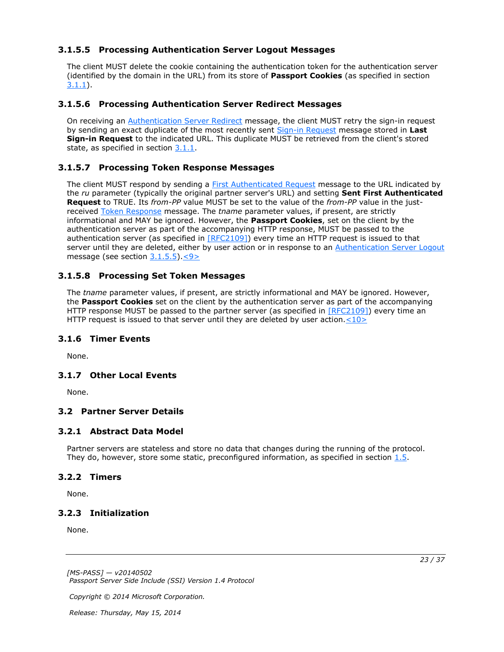## <span id="page-22-0"></span>**3.1.5.5 Processing Authentication Server Logout Messages**

<span id="page-22-12"></span>The client MUST delete the cookie containing the authentication token for the authentication server (identified by the domain in the URL) from its store of **Passport Cookies** (as specified in section [3.1.1\)](#page-17-5).

## <span id="page-22-1"></span>**3.1.5.6 Processing Authentication Server Redirect Messages**

<span id="page-22-11"></span>On receiving an [Authentication Server Redirect](#page-12-4) message, the client MUST retry the sign-in request by sending an exact duplicate of the most recently sent [Sign-in Request](#page-13-3) message stored in **Last Sign-in Request** to the indicated URL. This duplicate MUST be retrieved from the client's stored state, as specified in section [3.1.1.](#page-17-5)

## <span id="page-22-2"></span>**3.1.5.7 Processing Token Response Messages**

<span id="page-22-21"></span>The client MUST respond by sending a [First Authenticated Request](#page-13-2) message to the URL indicated by the *ru* parameter (typically the original partner server's URL) and setting **Sent First Authenticated Request** to TRUE. Its *from-PP* value MUST be set to the value of the *from-PP* value in the justreceived [Token Response](#page-15-2) message. The *tname* parameter values, if present, are strictly informational and MAY be ignored. However, the **Passport Cookies**, set on the client by the authentication server as part of the accompanying HTTP response, MUST be passed to the authentication server (as specified in [\[RFC2109\]\)](http://go.microsoft.com/fwlink/?LinkId=90315) every time an HTTP request is issued to that server until they are deleted, either by user action or in response to an [Authentication Server Logout](#page-12-3) message (see section [3.1.5.5\)](#page-22-12)[.<9>](#page-33-1)

### <span id="page-22-3"></span>**3.1.5.8 Processing Set Token Messages**

<span id="page-22-20"></span><span id="page-22-13"></span>The *tname* parameter values, if present, are strictly informational and MAY be ignored. However, the **Passport Cookies** set on the client by the authentication server as part of the accompanying HTTP response MUST be passed to the partner server (as specified in [\[RFC2109\]\)](http://go.microsoft.com/fwlink/?LinkId=90315) every time an HTTP request is issued to that server until they are deleted by user action. $<$ 10>

#### <span id="page-22-4"></span>**3.1.6 Timer Events**

<span id="page-22-17"></span><span id="page-22-16"></span>None.

## <span id="page-22-5"></span>**3.1.7 Other Local Events**

<span id="page-22-10"></span>None.

## <span id="page-22-6"></span>**3.2 Partner Server Details**

#### <span id="page-22-7"></span>**3.2.1 Abstract Data Model**

<span id="page-22-15"></span>Partner servers are stateless and store no data that changes during the running of the protocol. They do, however, store some static, preconfigured information, as specified in section  $1.5$ .

#### <span id="page-22-8"></span>**3.2.2 Timers**

<span id="page-22-19"></span><span id="page-22-18"></span>None.

#### <span id="page-22-9"></span>**3.2.3 Initialization**

None.

*[MS-PASS] — v20140502 Passport Server Side Include (SSI) Version 1.4 Protocol* 

*Copyright © 2014 Microsoft Corporation.* 

*Release: Thursday, May 15, 2014* 

<span id="page-22-14"></span>*23 / 37*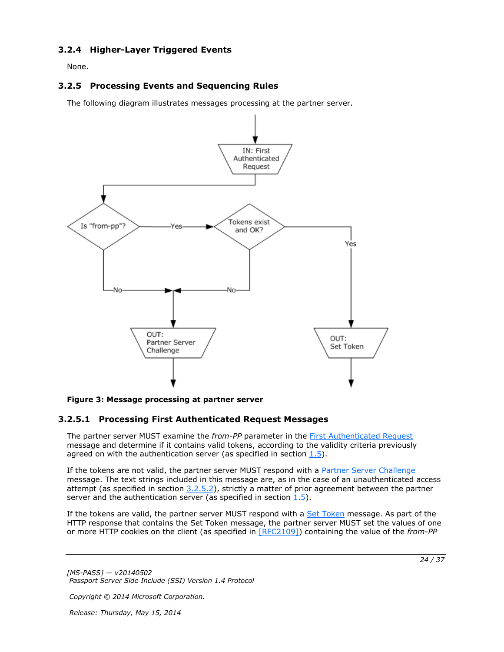## <span id="page-23-0"></span>**3.2.4 Higher-Layer Triggered Events**

<span id="page-23-5"></span><span id="page-23-4"></span>None.

## <span id="page-23-1"></span>**3.2.5 Processing Events and Sequencing Rules**

The following diagram illustrates messages processing at the partner server.



#### **Figure 3: Message processing at partner server**

## <span id="page-23-2"></span>**3.2.5.1 Processing First Authenticated Request Messages**

The partner server MUST examine the *from-PP* parameter in the [First Authenticated Request](#page-13-2) message and determine if it contains valid tokens, according to the validity criteria previously agreed on with the authentication server (as specified in section  $1.5$ ).

If the tokens are not valid, the partner server MUST respond with a [Partner Server Challenge](#page-14-3) message. The text strings included in this message are, as in the case of an unauthenticated access attempt (as specified in section  $3.2.5.2$ ), strictly a matter of prior agreement between the partner server and the authentication server (as specified in section  $1.5$ ).

If the tokens are valid, the partner server MUST respond with a [Set Token](#page-14-5) message. As part of the HTTP response that contains the Set Token message, the partner server MUST set the values of one or more HTTP cookies on the client (as specified in [\[RFC2109\]\)](http://go.microsoft.com/fwlink/?LinkId=90315) containing the value of the *from-PP*

*[MS-PASS] — v20140502 Passport Server Side Include (SSI) Version 1.4 Protocol* 

*Copyright © 2014 Microsoft Corporation.* 

*Release: Thursday, May 15, 2014* 

<span id="page-23-3"></span>*24 / 37*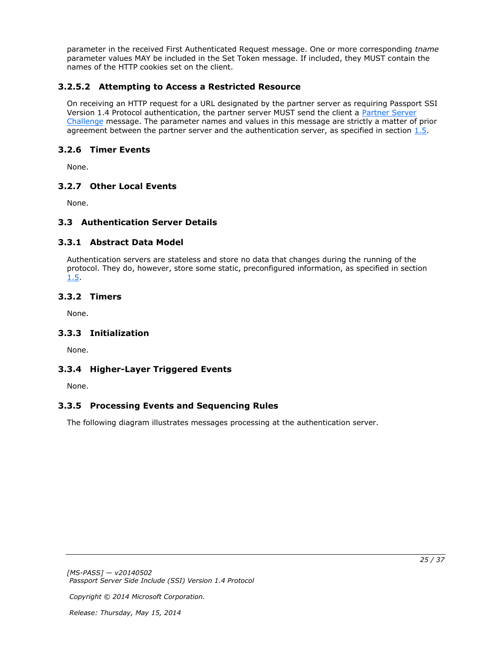parameter in the received First Authenticated Request message. One or more corresponding *tname* parameter values MAY be included in the Set Token message. If included, they MUST contain the names of the HTTP cookies set on the client.

## <span id="page-24-0"></span>**3.2.5.2 Attempting to Access a Restricted Resource**

<span id="page-24-10"></span>On receiving an HTTP request for a URL designated by the partner server as requiring Passport SSI Version 1.4 Protocol authentication, the partner server MUST send the client a Partner Server [Challenge](#page-14-3) message. The parameter names and values in this message are strictly a matter of prior agreement between the partner server and the authentication server, as specified in section [1.5.](#page-8-3)

## <span id="page-24-1"></span>**3.2.6 Timer Events**

<span id="page-24-16"></span>None.

## <span id="page-24-2"></span>**3.2.7 Other Local Events**

<span id="page-24-9"></span>None.

## <span id="page-24-3"></span>**3.3 Authentication Server Details**

## <span id="page-24-4"></span>**3.3.1 Abstract Data Model**

<span id="page-24-11"></span>Authentication servers are stateless and store no data that changes during the running of the protocol. They do, however, store some static, preconfigured information, as specified in section [1.5.](#page-8-3)

## <span id="page-24-5"></span>**3.3.2 Timers**

<span id="page-24-15"></span><span id="page-24-13"></span>None.

## <span id="page-24-6"></span>**3.3.3 Initialization**

<span id="page-24-12"></span>None.

## <span id="page-24-7"></span>**3.3.4 Higher-Layer Triggered Events**

<span id="page-24-14"></span>None.

## <span id="page-24-8"></span>**3.3.5 Processing Events and Sequencing Rules**

The following diagram illustrates messages processing at the authentication server.

*Copyright © 2014 Microsoft Corporation.*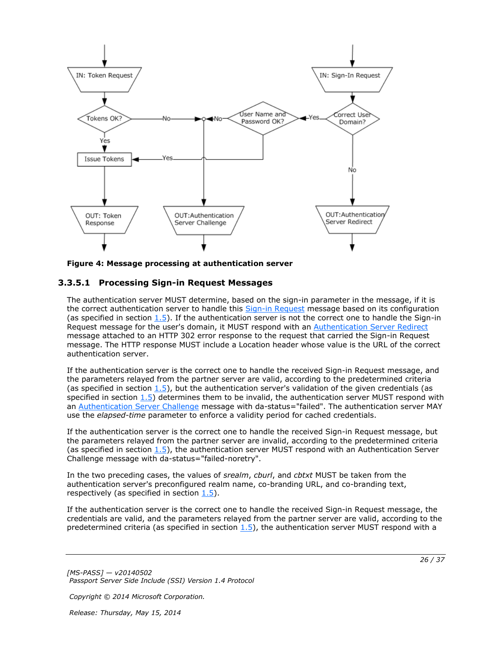

<span id="page-25-1"></span>**Figure 4: Message processing at authentication server**

### <span id="page-25-0"></span>**3.3.5.1 Processing Sign-in Request Messages**

The authentication server MUST determine, based on the sign-in parameter in the message, if it is the correct authentication server to handle this [Sign-in Request](#page-13-3) message based on its configuration (as specified in section  $1.5$ ). If the authentication server is not the correct one to handle the Sign-in Request message for the user's domain, it MUST respond with an [Authentication Server Redirect](#page-12-4) message attached to an HTTP 302 error response to the request that carried the Sign-in Request message. The HTTP response MUST include a Location header whose value is the URL of the correct authentication server.

If the authentication server is the correct one to handle the received Sign-in Request message, and the parameters relayed from the partner server are valid, according to the predetermined criteria (as specified in section  $1.5$ ), but the authentication server's validation of the given credentials (as specified in section  $1.5$ ) determines them to be invalid, the authentication server MUST respond with an [Authentication Server Challenge](#page-11-1) message with da-status="failed". The authentication server MAY use the *elapsed-time* parameter to enforce a validity period for cached credentials.

If the authentication server is the correct one to handle the received Sign-in Request message, but the parameters relayed from the partner server are invalid, according to the predetermined criteria (as specified in section [1.5\)](#page-8-3), the authentication server MUST respond with an Authentication Server Challenge message with da-status="failed-noretry".

In the two preceding cases, the values of *srealm*, *cburl*, and *cbtxt* MUST be taken from the authentication server's preconfigured realm name, co-branding URL, and co-branding text, respectively (as specified in section  $1.5$ ).

If the authentication server is the correct one to handle the received Sign-in Request message, the credentials are valid, and the parameters relayed from the partner server are valid, according to the predetermined criteria (as specified in section  $1.5$ ), the authentication server MUST respond with a

*[MS-PASS] — v20140502 Passport Server Side Include (SSI) Version 1.4 Protocol* 

*Copyright © 2014 Microsoft Corporation.*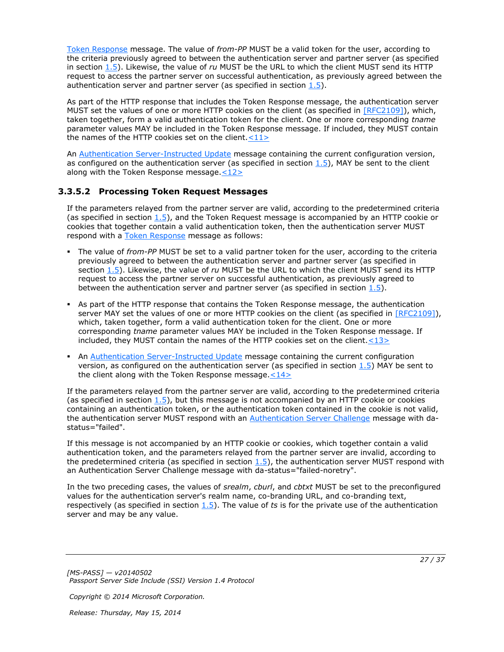[Token Response](#page-15-2) message. The value of *from-PP* MUST be a valid token for the user, according to the criteria previously agreed to between the authentication server and partner server (as specified in section [1.5\)](#page-8-3). Likewise, the value of *ru* MUST be the URL to which the client MUST send its HTTP request to access the partner server on successful authentication, as previously agreed between the authentication server and partner server (as specified in section  $1.5$ ).

As part of the HTTP response that includes the Token Response message, the authentication server MUST set the values of one or more HTTP cookies on the client (as specified in [\[RFC2109\]\)](http://go.microsoft.com/fwlink/?LinkId=90315), which, taken together, form a valid authentication token for the client. One or more corresponding *tname* parameter values MAY be included in the Token Response message. If included, they MUST contain the names of the HTTP cookies set on the client.  $\langle 11 \rangle$ 

<span id="page-26-2"></span><span id="page-26-1"></span>An [Authentication Server-Instructed Update](#page-12-5) message containing the current configuration version, as configured on the authentication server (as specified in section  $1.5$ ), MAY be sent to the client along with the Token Response message. $\leq 12>$ 

### <span id="page-26-0"></span>**3.3.5.2 Processing Token Request Messages**

<span id="page-26-5"></span>If the parameters relayed from the partner server are valid, according to the predetermined criteria (as specified in section  $1.5$ ), and the Token Request message is accompanied by an HTTP cookie or cookies that together contain a valid authentication token, then the authentication server MUST respond with a [Token Response](#page-15-2) message as follows:

- The value of *from-PP* MUST be set to a valid partner token for the user, according to the criteria previously agreed to between the authentication server and partner server (as specified in section [1.5\)](#page-8-3). Likewise, the value of *ru* MUST be the URL to which the client MUST send its HTTP request to access the partner server on successful authentication, as previously agreed to between the authentication server and partner server (as specified in section  $1.5$ ).
- As part of the HTTP response that contains the Token Response message, the authentication server MAY set the values of one or more HTTP cookies on the client (as specified in [\[RFC2109\]\)](http://go.microsoft.com/fwlink/?LinkId=90315), which, taken together, form a valid authentication token for the client. One or more corresponding *tname* parameter values MAY be included in the Token Response message. If included, they MUST contain the names of the HTTP cookies set on the client. $\leq 13>$
- <span id="page-26-4"></span><span id="page-26-3"></span>An [Authentication Server-Instructed Update](#page-12-5) message containing the current configuration version, as configured on the authentication server (as specified in section  $1.5$ ) MAY be sent to the client along with the Token Response message. $<$ 14>

If the parameters relayed from the partner server are valid, according to the predetermined criteria (as specified in section  $1.5$ ), but this message is not accompanied by an HTTP cookie or cookies containing an authentication token, or the authentication token contained in the cookie is not valid, the authentication server MUST respond with an [Authentication Server Challenge](#page-11-1) message with dastatus="failed".

If this message is not accompanied by an HTTP cookie or cookies, which together contain a valid authentication token, and the parameters relayed from the partner server are invalid, according to the predetermined criteria (as specified in section  $1.5$ ), the authentication server MUST respond with an Authentication Server Challenge message with da-status="failed-noretry".

In the two preceding cases, the values of *srealm*, *cburl*, and *cbtxt* MUST be set to the preconfigured values for the authentication server's realm name, co-branding URL, and co-branding text, respectively (as specified in section [1.5\)](#page-8-3). The value of *ts* is for the private use of the authentication server and may be any value.

*[MS-PASS] — v20140502 Passport Server Side Include (SSI) Version 1.4 Protocol* 

*Copyright © 2014 Microsoft Corporation.*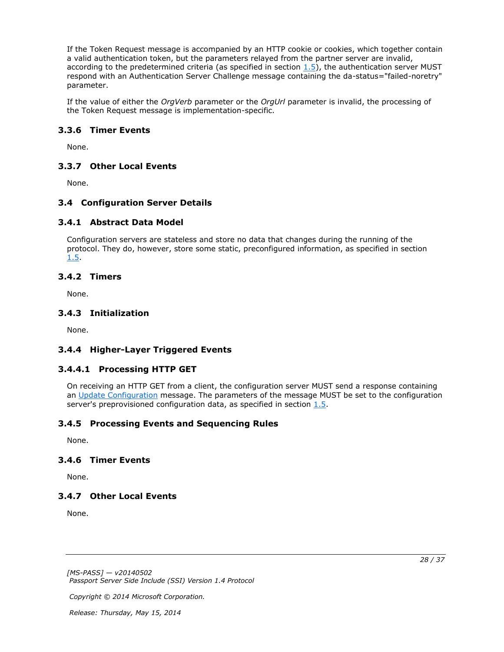If the Token Request message is accompanied by an HTTP cookie or cookies, which together contain a valid authentication token, but the parameters relayed from the partner server are invalid, according to the predetermined criteria (as specified in section  $1.5$ ), the authentication server MUST respond with an Authentication Server Challenge message containing the da-status="failed-noretry" parameter.

If the value of either the *OrgVerb* parameter or the *OrgUrl* parameter is invalid, the processing of the Token Request message is implementation-specific.

## <span id="page-27-0"></span>**3.3.6 Timer Events**

<span id="page-27-13"></span><span id="page-27-12"></span>None.

### <span id="page-27-1"></span>**3.3.7 Other Local Events**

None.

### <span id="page-27-2"></span>**3.4 Configuration Server Details**

#### <span id="page-27-3"></span>**3.4.1 Abstract Data Model**

<span id="page-27-11"></span>Configuration servers are stateless and store no data that changes during the running of the protocol. They do, however, store some static, preconfigured information, as specified in section [1.5.](#page-8-3)

#### <span id="page-27-4"></span>**3.4.2 Timers**

<span id="page-27-20"></span><span id="page-27-16"></span>None.

#### <span id="page-27-5"></span>**3.4.3 Initialization**

<span id="page-27-14"></span>None.

## <span id="page-27-6"></span>**3.4.4 Higher-Layer Triggered Events**

## <span id="page-27-7"></span>**3.4.4.1 Processing HTTP GET**

<span id="page-27-15"></span>On receiving an HTTP GET from a client, the configuration server MUST send a response containing an [Update Configuration](#page-15-3) message. The parameters of the message MUST be set to the configuration server's preprovisioned configuration data, as specified in section [1.5.](#page-8-3)

## <span id="page-27-8"></span>**3.4.5 Processing Events and Sequencing Rules**

<span id="page-27-19"></span><span id="page-27-18"></span>None.

## <span id="page-27-9"></span>**3.4.6 Timer Events**

<span id="page-27-17"></span>None.

## <span id="page-27-10"></span>**3.4.7 Other Local Events**

None.

*[MS-PASS] — v20140502 Passport Server Side Include (SSI) Version 1.4 Protocol* 

*Copyright © 2014 Microsoft Corporation.*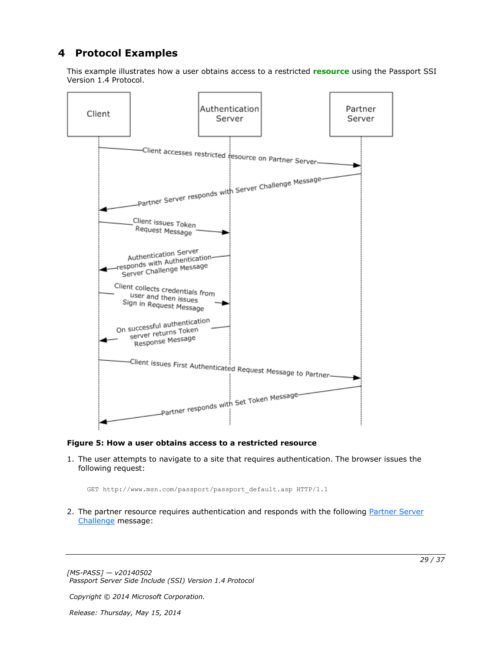# <span id="page-28-0"></span>**4 Protocol Examples**

<span id="page-28-1"></span>This example illustrates how a user obtains access to a restricted **[resource](#page-6-5)** using the Passport SSI Version 1.4 Protocol.



#### **Figure 5: How a user obtains access to a restricted resource**

1. The user attempts to navigate to a site that requires authentication. The browser issues the following request:

GET http://www.msn.com/passport/passport\_default.asp HTTP/1.1

2. The partner resource requires authentication and responds with the following Partner Server [Challenge](#page-14-3) message:

*[MS-PASS] — v20140502 Passport Server Side Include (SSI) Version 1.4 Protocol* 

*Copyright © 2014 Microsoft Corporation.*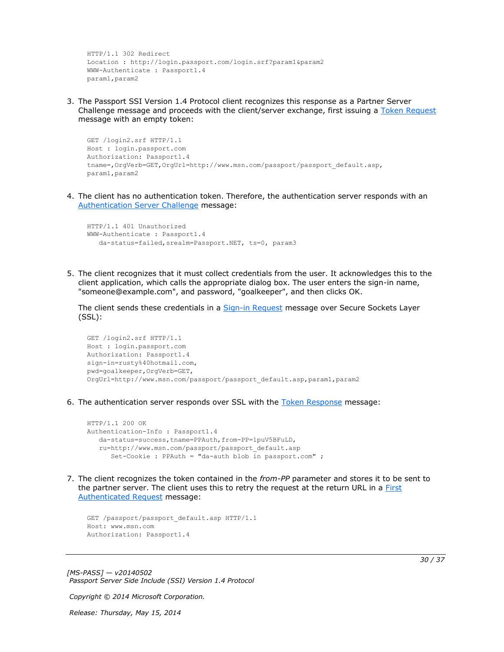```
HTTP/1.1 302 Redirect
Location : http://login.passport.com/login.srf?param1&param2
WWW-Authenticate : Passport1.4
param1,param2
```
3. The Passport SSI Version 1.4 Protocol client recognizes this response as a Partner Server Challenge message and proceeds with the client/server exchange, first issuing a [Token Request](#page-14-4) message with an empty token:

```
GET /login2.srf HTTP/1.1
Host : login.passport.com
Authorization: Passport1.4
tname=,OrgVerb=GET,OrgUrl=http://www.msn.com/passport/passport_default.asp,
param1,param2
```
4. The client has no authentication token. Therefore, the authentication server responds with an [Authentication Server Challenge](#page-11-1) message:

```
HTTP/1.1 401 Unauthorized
WWW-Authenticate : Passport1.4
    da-status=failed,srealm=Passport.NET, ts=0, param3
```
5. The client recognizes that it must collect credentials from the user. It acknowledges this to the client application, which calls the appropriate dialog box. The user enters the sign-in name, "someone@example.com", and password, "goalkeeper", and then clicks OK.

The client sends these credentials in a [Sign-in Request](#page-13-3) message over Secure Sockets Layer (SSL):

```
GET /login2.srf HTTP/1.1
Host : login.passport.com
Authorization: Passport1.4
sign-in=rusty%40hotmail.com,
pwd=goalkeeper,OrgVerb=GET,
OrgUrl=http://www.msn.com/passport/passport_default.asp,param1,param2
```
6. The authentication server responds over SSL with the [Token Response](#page-15-2) message:

```
HTTP/1.1 200 OK
Authentication-Info : Passport1.4
   da-status=success,tname=PPAuth,from-PP=1puV5BFuLD,
    ru=http://www.msn.com/passport/passport_default.asp
       Set-Cookie : PPAuth = "da-auth blob in passport.com" ;
```
7. The client recognizes the token contained in the *from-PP* parameter and stores it to be sent to the partner server. The client uses this to retry the request at the return URL in a **First** [Authenticated Request](#page-13-2) message:

```
GET /passport/passport default.asp HTTP/1.1
Host: www.msn.com
Authorization: Passport1.4
```
*[MS-PASS] — v20140502 Passport Server Side Include (SSI) Version 1.4 Protocol* 

*Copyright © 2014 Microsoft Corporation.*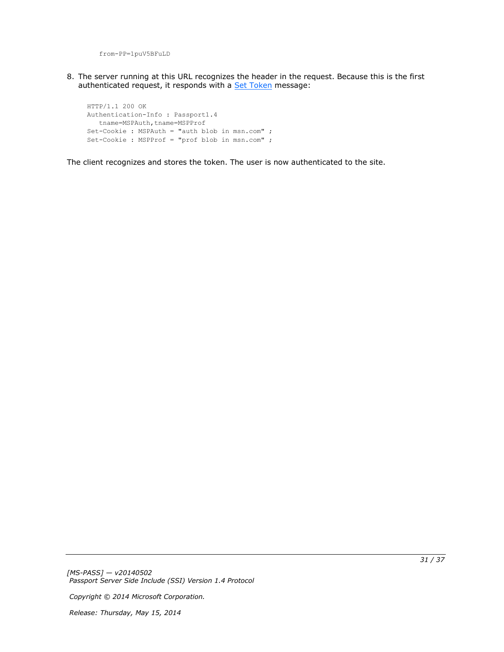from-PP=1puV5BFuLD

8. The server running at this URL recognizes the header in the request. Because this is the first authenticated request, it responds with a [Set Token](#page-14-5) message:

HTTP/1.1 200 OK Authentication-Info : Passport1.4 tname=MSPAuth,tname=MSPProf Set-Cookie : MSPAuth = "auth blob in msn.com" ; Set-Cookie : MSPProf = "prof blob in msn.com" ;

The client recognizes and stores the token. The user is now authenticated to the site.

*[MS-PASS] — v20140502 Passport Server Side Include (SSI) Version 1.4 Protocol* 

*Copyright © 2014 Microsoft Corporation.*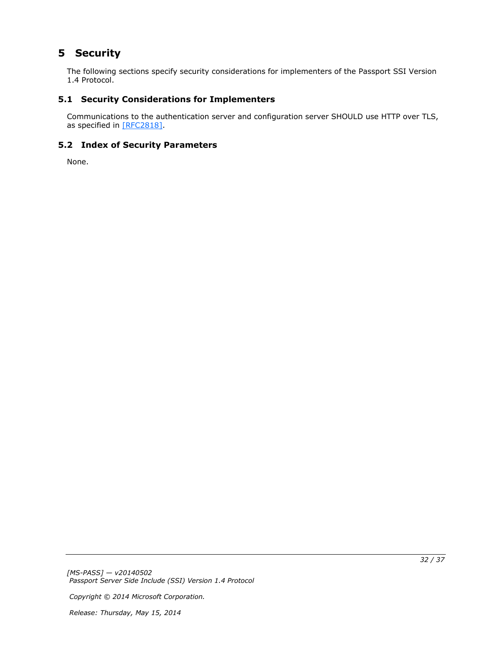# <span id="page-31-0"></span>**5 Security**

<span id="page-31-5"></span>The following sections specify security considerations for implementers of the Passport SSI Version 1.4 Protocol.

## <span id="page-31-1"></span>**5.1 Security Considerations for Implementers**

<span id="page-31-3"></span>Communications to the authentication server and configuration server SHOULD use HTTP over TLS, as specified in [\[RFC2818\].](http://go.microsoft.com/fwlink/?LinkId=90383)

## <span id="page-31-2"></span>**5.2 Index of Security Parameters**

<span id="page-31-4"></span>None.

*[MS-PASS] — v20140502 Passport Server Side Include (SSI) Version 1.4 Protocol* 

*Copyright © 2014 Microsoft Corporation.*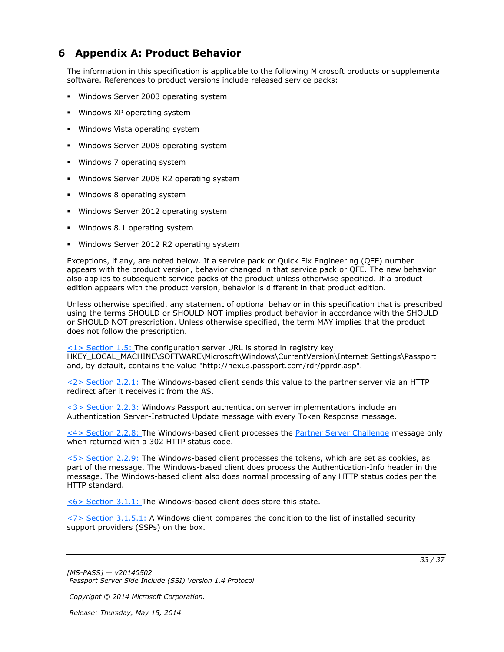# <span id="page-32-0"></span>**6 Appendix A: Product Behavior**

<span id="page-32-8"></span>The information in this specification is applicable to the following Microsoft products or supplemental software. References to product versions include released service packs:

- Windows Server 2003 operating system
- **Windows XP operating system**
- **Windows Vista operating system**
- **Windows Server 2008 operating system**
- Windows 7 operating system
- Windows Server 2008 R2 operating system
- Windows 8 operating system
- **Windows Server 2012 operating system**
- Windows 8.1 operating system
- **Windows Server 2012 R2 operating system**

Exceptions, if any, are noted below. If a service pack or Quick Fix Engineering (QFE) number appears with the product version, behavior changed in that service pack or QFE. The new behavior also applies to subsequent service packs of the product unless otherwise specified. If a product edition appears with the product version, behavior is different in that product edition.

Unless otherwise specified, any statement of optional behavior in this specification that is prescribed using the terms SHOULD or SHOULD NOT implies product behavior in accordance with the SHOULD or SHOULD NOT prescription. Unless otherwise specified, the term MAY implies that the product does not follow the prescription.

<span id="page-32-1"></span> $\langle 1 \rangle$  Section 1.5: The configuration server URL is stored in registry key HKEY\_LOCAL\_MACHINE\SOFTWARE\Microsoft\Windows\CurrentVersion\Internet Settings\Passport and, by default, contains the value "http://nexus.passport.com/rdr/pprdr.asp".

<span id="page-32-2"></span>[<2> Section 2.2.1: T](#page-11-2)he Windows-based client sends this value to the partner server via an HTTP redirect after it receives it from the AS.

<span id="page-32-3"></span>[<3> Section 2.2.3: W](#page-12-6)indows Passport authentication server implementations include an Authentication Server-Instructed Update message with every Token Response message.

<span id="page-32-4"></span>[<4> Section 2.2.8: T](#page-14-6)he Windows-based client processes the [Partner Server Challenge](#page-14-3) message only when returned with a 302 HTTP status code.

<span id="page-32-5"></span>[<5> Section 2.2.9: T](#page-14-7)he Windows-based client processes the tokens, which are set as cookies, as part of the message. The Windows-based client does process the Authentication-Info header in the message. The Windows-based client also does normal processing of any HTTP status codes per the HTTP standard.

<span id="page-32-6"></span>[<6> Section 3.1.1: T](#page-17-6)he Windows-based client does store this state.

<span id="page-32-7"></span> $\langle$  [<7> Section 3.1.5.1: A](#page-21-6) Windows client compares the condition to the list of installed security support providers (SSPs) on the box.

*[MS-PASS] — v20140502 Passport Server Side Include (SSI) Version 1.4 Protocol* 

*Copyright © 2014 Microsoft Corporation.*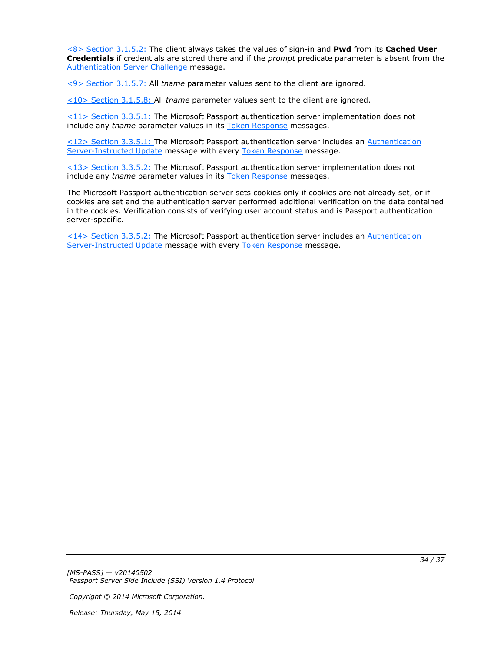<span id="page-33-0"></span>[<8> Section 3.1.5.2: T](#page-21-7)he client always takes the values of sign-in and **Pwd** from its **Cached User Credentials** if credentials are stored there and if the *prompt* predicate parameter is absent from the [Authentication Server Challenge](#page-11-1) message.

<span id="page-33-1"></span>[<9> Section 3.1.5.7: A](#page-22-13)ll *tname* parameter values sent to the client are ignored.

<span id="page-33-2"></span>[<10> Section 3.1.5.8: A](#page-22-14)ll *tname* parameter values sent to the client are ignored.

<span id="page-33-3"></span> $\leq$ 11> Section 3.3.5.1: The Microsoft Passport authentication server implementation does not include any *tname* parameter values in its [Token Response](#page-15-2) messages.

<span id="page-33-4"></span>[<12> Section 3.3.5.1: T](#page-26-2)he Microsoft Passport authentication server includes an [Authentication](#page-12-5)  [Server-Instructed Update](#page-12-5) message with every [Token Response](#page-15-2) message.

<span id="page-33-5"></span>[<13> Section 3.3.5.2: T](#page-26-3)he Microsoft Passport authentication server implementation does not include any *tname* parameter values in its [Token Response](#page-15-2) messages.

The Microsoft Passport authentication server sets cookies only if cookies are not already set, or if cookies are set and the authentication server performed additional verification on the data contained in the cookies. Verification consists of verifying user account status and is Passport authentication server-specific.

<span id="page-33-6"></span>[<14> Section 3.3.5.2: T](#page-26-4)he Microsoft Passport authentication server includes an [Authentication](#page-12-5)  [Server-Instructed Update](#page-12-5) message with every [Token Response](#page-15-2) message.

*[MS-PASS] — v20140502 Passport Server Side Include (SSI) Version 1.4 Protocol* 

*Copyright © 2014 Microsoft Corporation.*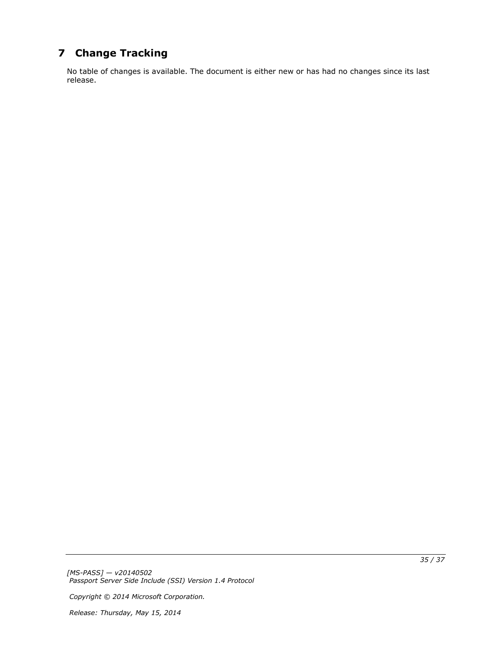# <span id="page-34-0"></span>**7 Change Tracking**

<span id="page-34-1"></span>No table of changes is available. The document is either new or has had no changes since its last release.

*[MS-PASS] — v20140502 Passport Server Side Include (SSI) Version 1.4 Protocol* 

*Copyright © 2014 Microsoft Corporation.*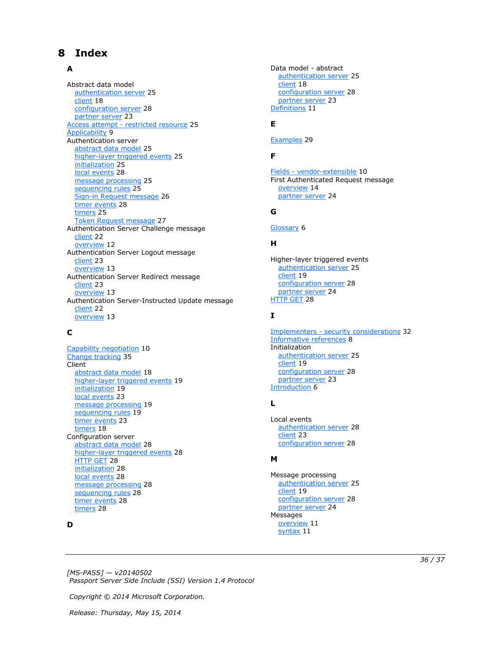## <span id="page-35-0"></span>**8 Index**

## **A**

Abstract data model [authentication server](#page-24-11) 25 [client](#page-17-5) 18 [configuration server](#page-27-11) 28 [partner server](#page-22-15) 23 Access attempt - [restricted resource](#page-24-10) 25 [Applicability](#page-8-5) 9 Authentication server [abstract data model](#page-24-11) 25 [higher-layer triggered events](#page-24-12) 25 [initialization](#page-24-13) 25 [local events](#page-27-12) 28 [message processing](#page-24-14) 25 [sequencing rules](#page-24-14) 25 [Sign-in Request message](#page-25-1) 26 [timer events](#page-27-13) 28 [timers](#page-24-15) 25 [Token Request message](#page-26-5) 27 Authentication Server Challenge message [client](#page-21-4) 22 [overview](#page-11-1) 12 Authentication Server Logout message [client](#page-22-12) 23 [overview](#page-12-3) 13 Authentication Server Redirect message [client](#page-22-11) 23 [overview](#page-12-4) 13 Authentication Server-Instructed Update message [client](#page-21-3) 22 [overview](#page-12-5) 13

#### **C**

[Capability negotiation](#page-9-3) 10 [Change tracking](#page-34-1) 35 Client [abstract data model](#page-17-5) 18 [higher-layer triggered events](#page-18-8) 19 [initialization](#page-18-9) 19 [local events](#page-22-16) 23 [message processing](#page-18-7) 19 [sequencing rules](#page-18-7) 19 [timer events](#page-22-17) 23 [timers](#page-17-7) 18 Configuration server [abstract data model](#page-27-11) 28 [higher-layer triggered events](#page-27-14) 28 [HTTP GET](#page-27-15) 28 [initialization](#page-27-16) 28 [local events](#page-27-17) 28 [message processing](#page-27-18) 28 [sequencing rules](#page-27-18) 28 [timer events](#page-27-19) 28 [timers](#page-27-20) 28

#### **D**

Data model - abstract [authentication server](#page-24-11) 25 [client](#page-17-5) 18 [configuration server](#page-27-11) 28 [partner server](#page-22-15) 23 [Definitions](#page-10-4) 11

#### **E**

[Examples](#page-28-1) 29

## **F**

Fields - [vendor-extensible](#page-9-4) 10 First Authenticated Request message [overview](#page-13-2) 14 [partner server](#page-23-3) 24

#### **G**

[Glossary](#page-5-10) 6

## **H**

Higher-layer triggered events [authentication server](#page-24-12) 25 [client](#page-18-8) 19 [configuration server](#page-27-14) 28 [partner server](#page-23-4) 24 **[HTTP GET](#page-27-15) 28** 

#### **I**

Implementers - [security considerations](#page-31-3) 32 [Informative references](#page-7-2) 8 Initialization [authentication server](#page-24-13) 25 [client](#page-18-9) 19 [configuration server](#page-27-16) 28 [partner server](#page-22-18) 23 [Introduction](#page-5-11) 6

## **L**

Local events [authentication server](#page-27-12) 28 [client](#page-22-16) 23 [configuration server](#page-27-17) 28

## **M**

Message processing [authentication server](#page-24-14) 25 [client](#page-18-7) 19 [configuration server](#page-27-18) 28 [partner server](#page-23-5) 24 Messages [overview](#page-10-5) 11 [syntax](#page-10-6) 11

*[MS-PASS] — v20140502 Passport Server Side Include (SSI) Version 1.4 Protocol* 

*Copyright © 2014 Microsoft Corporation.*